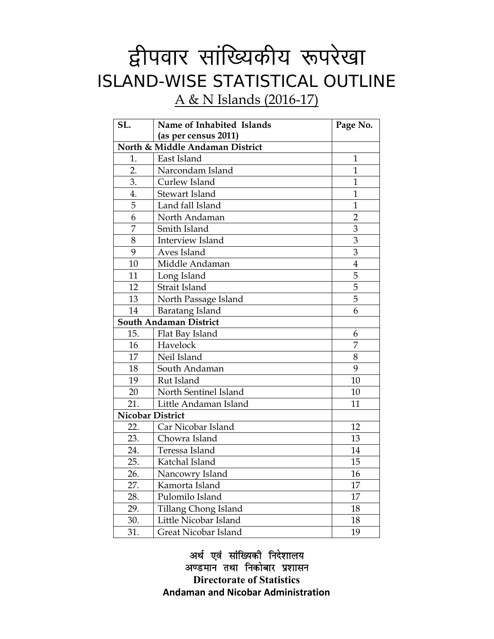# द्वीपवार सांख्यिकीय रूपरेखा ISLAND-WISE STATISTICAL OUTLINE A & N Islands (2016-17)

| SL.                           | Name of Inhabited Islands       | Page No.       |  |  |  |  |  |  |  |
|-------------------------------|---------------------------------|----------------|--|--|--|--|--|--|--|
|                               | (as per census 2011)            |                |  |  |  |  |  |  |  |
|                               | North & Middle Andaman District |                |  |  |  |  |  |  |  |
| 1.                            | East Island                     | 1              |  |  |  |  |  |  |  |
| $\overline{2}$ .              | Narcondam Island                | 1              |  |  |  |  |  |  |  |
| 3.                            | Curlew Island                   | $\overline{1}$ |  |  |  |  |  |  |  |
| 4.                            | Stewart Island                  | $\overline{1}$ |  |  |  |  |  |  |  |
| 5                             | Land fall Island                | $\mathbf{1}$   |  |  |  |  |  |  |  |
| 6                             | North Andaman                   | $\overline{2}$ |  |  |  |  |  |  |  |
| 7                             | Smith Island                    | 3              |  |  |  |  |  |  |  |
| 8                             | Interview Island                | 3              |  |  |  |  |  |  |  |
| 9                             | Aves Island                     | 3              |  |  |  |  |  |  |  |
| 10                            | Middle Andaman                  | $\overline{4}$ |  |  |  |  |  |  |  |
| 11                            | Long Island                     | 5              |  |  |  |  |  |  |  |
| 12                            | Strait Island                   | 5              |  |  |  |  |  |  |  |
| 13                            | North Passage Island            | $\overline{5}$ |  |  |  |  |  |  |  |
| 14                            | 6                               |                |  |  |  |  |  |  |  |
| <b>South Andaman District</b> |                                 |                |  |  |  |  |  |  |  |
| 15.                           | Flat Bay Island                 | 6              |  |  |  |  |  |  |  |
| 16                            | Havelock                        | 7              |  |  |  |  |  |  |  |
| 17                            | Neil Island                     | 8              |  |  |  |  |  |  |  |
| 18                            | South Andaman                   | 9              |  |  |  |  |  |  |  |
| 19                            | Rut Island                      | 10             |  |  |  |  |  |  |  |
| 20                            | North Sentinel Island           | 10             |  |  |  |  |  |  |  |
| 21.                           | Little Andaman Island           | 11             |  |  |  |  |  |  |  |
| <b>Nicobar District</b>       |                                 |                |  |  |  |  |  |  |  |
| 22.                           | Car Nicobar Island              | 12             |  |  |  |  |  |  |  |
| 23.                           | Chowra Island                   | 13             |  |  |  |  |  |  |  |
| 24.                           | Teressa Island                  | 14             |  |  |  |  |  |  |  |
| 25.                           | Katchal Island                  | 15             |  |  |  |  |  |  |  |
| 26.                           | Nancowry Island                 | 16             |  |  |  |  |  |  |  |
| 27.                           | Kamorta Island                  | 17             |  |  |  |  |  |  |  |
| 28.                           | Pulomilo Island                 | 17             |  |  |  |  |  |  |  |
| 29.                           | Tillang Chong Island            | 18             |  |  |  |  |  |  |  |
| 30.                           | Little Nicobar Island           | 18             |  |  |  |  |  |  |  |
| 31.                           | Great Nicobar Island            | 19             |  |  |  |  |  |  |  |

अर्थ एवं सांख्यिकी निदेशालय अण्डमान तथा निकोबार प्रशासन **Directorate of Statistics Andaman and Nicobar Administration**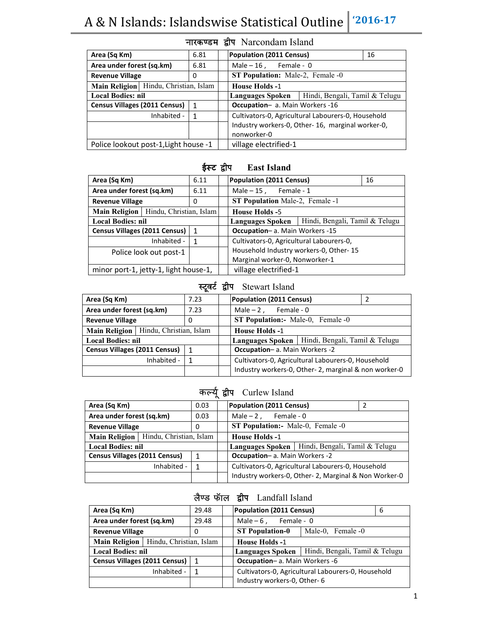| Area (Sq Km)                            | 6.81        | <b>Population (2011 Census)</b><br>16              |  |  |
|-----------------------------------------|-------------|----------------------------------------------------|--|--|
| Area under forest (sq.km)<br>6.81       |             | Male $-16$ , Female - 0                            |  |  |
| <b>Revenue Village</b>                  | 0           | <b>ST Population:</b> Male-2, Female -0            |  |  |
| Main Religion   Hindu, Christian, Islam |             | <b>House Holds -1</b>                              |  |  |
| <b>Local Bodies: nil</b>                |             | Hindi, Bengali, Tamil & Telugu<br>Languages Spoken |  |  |
| <b>Census Villages (2011 Census)</b>    | $\mathbf 1$ | <b>Occupation-</b> a. Main Workers -16             |  |  |
| Inhabited -                             |             | Cultivators-0, Agricultural Labourers-0, Household |  |  |
|                                         |             | Industry workers-0, Other-16, marginal worker-0,   |  |  |
|                                         |             | nonworker-0                                        |  |  |
| Police lookout post-1, Light house -1   |             | village electrified-1                              |  |  |

## नारकण्डम द्वीप Narcondam Island

| ईस्ट द्वीप | <b>East Island</b> |
|------------|--------------------|
|------------|--------------------|

| Area (Sq Km)                                                   | 6.11         | Population (2011 Census)<br>16                     |  |  |
|----------------------------------------------------------------|--------------|----------------------------------------------------|--|--|
| Area under forest (sq.km)                                      | 6.11         | Male $-15$ , Female - 1                            |  |  |
| <b>Revenue Village</b>                                         | 0            | <b>ST Population Male-2. Female -1</b>             |  |  |
| Hindu, Christian, Islam<br><b>Main Religion</b>                |              | <b>House Holds -5</b>                              |  |  |
| <b>Local Bodies: nil</b>                                       |              | Hindi, Bengali, Tamil & Telugu<br>Languages Spoken |  |  |
| Census Villages (2011 Census)                                  | $\mathbf{1}$ | Occupation-a. Main Workers -15                     |  |  |
| Inhabited -                                                    | 1            | Cultivators-0, Agricultural Labourers-0,           |  |  |
| Police look out post-1                                         |              | Household Industry workers-0, Other-15             |  |  |
|                                                                |              | Marginal worker-0, Nonworker-1                     |  |  |
| village electrified-1<br>minor port-1, jetty-1, light house-1, |              |                                                    |  |  |

#### स्टूवर्ट द्वीप Stewart Island

| Area (Sq Km)                            | 7.23           |                                                       | Population (2011 Census) |  |  |
|-----------------------------------------|----------------|-------------------------------------------------------|--------------------------|--|--|
| Area under forest (sq.km)               | 7.23           | Male $-2$ , Female - 0                                |                          |  |  |
| <b>Revenue Village</b>                  | 0              | <b>ST Population:-</b> Male-0, Female -0              |                          |  |  |
| Main Religion   Hindu, Christian, Islam |                | <b>House Holds -1</b>                                 |                          |  |  |
| <b>Local Bodies: nil</b>                |                | Languages Spoken   Hindi, Bengali, Tamil & Telugu     |                          |  |  |
| Census Villages (2011 Census)           | $\blacksquare$ | Occupation-a. Main Workers -2                         |                          |  |  |
| Inhabited -                             |                | Cultivators-0, Agricultural Labourers-0, Household    |                          |  |  |
|                                         |                | Industry workers-0, Other- 2, marginal & non worker-0 |                          |  |  |

### कर्ल्यू द्वीप Curlew Island

| Area (Sq Km)                            | 0.03 | <b>Population (2011 Census)</b>                       |  |  |
|-----------------------------------------|------|-------------------------------------------------------|--|--|
| Area under forest (sq.km)               | 0.03 | Male $-2$ , Female - 0                                |  |  |
| <b>Revenue Village</b>                  | O    | <b>ST Population:</b> Male-0, Female -0               |  |  |
| Main Religion   Hindu, Christian, Islam |      | <b>House Holds -1</b>                                 |  |  |
| <b>Local Bodies: nil</b>                |      | Languages Spoken   Hindi, Bengali, Tamil & Telugu     |  |  |
| Census Villages (2011 Census)           |      | Occupation- a. Main Workers -2                        |  |  |
| Inhabited -                             |      | Cultivators-0, Agricultural Labourers-0, Household    |  |  |
|                                         |      | Industry workers-0, Other- 2, Marginal & Non Worker-0 |  |  |

#### रौण्ड फॉल द्वीप Landfall Island

| Area (Sq Km)<br>29.48                   |                                                  |  |                                       | Population (2011 Census)<br>6                      |                                |  |
|-----------------------------------------|--------------------------------------------------|--|---------------------------------------|----------------------------------------------------|--------------------------------|--|
| Area under forest (sq.km)<br>29.48      |                                                  |  |                                       | Male $-6$ , Female - 0                             |                                |  |
| <b>Revenue Village</b>                  | Male-0, Female -0<br><b>ST Population-0</b><br>0 |  |                                       |                                                    |                                |  |
| Main Religion   Hindu, Christian, Islam |                                                  |  |                                       | <b>House Holds -1</b>                              |                                |  |
| <b>Local Bodies: nil</b>                |                                                  |  |                                       | Languages Spoken                                   | Hindi, Bengali, Tamil & Telugu |  |
| Census Villages (2011 Census)   1       |                                                  |  | <b>Occupation-</b> a. Main Workers -6 |                                                    |                                |  |
| Inhabited -                             |                                                  |  |                                       | Cultivators-0, Agricultural Labourers-0, Household |                                |  |
|                                         |                                                  |  |                                       | Industry workers-0, Other- 6                       |                                |  |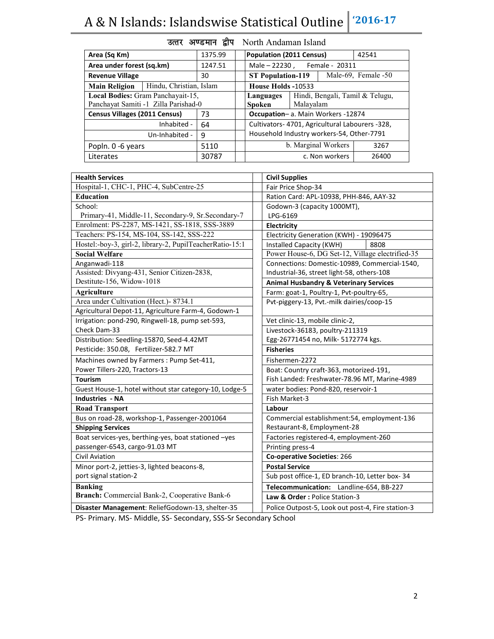# A & N Islands: Islandswise Statistical Outline **'2016-17**

| <b>Population (2011 Census)</b><br>Area (Sq Km)<br>1375.99<br>42541<br>Area under forest (sq.km)<br>Female - 20311<br>Male - 22230,<br>1247.51<br><b>ST Population-119</b><br>Male-69, Female -50<br><b>Revenue Village</b><br>30<br><b>Main Religion</b><br>Hindu, Christian, Islam<br>House Holds -10533<br>Local Bodies: Gram Panchayait-15,<br>Hindi, Bengali, Tamil & Telugu,<br>Languages<br>Panchayat Samiti -1 Zilla Parishad-0<br>Spoken<br>Malayalam<br><b>Census Villages (2011 Census)</b><br>Occupation-a. Main Workers -12874<br>73<br>Cultivators- 4701, Agricultural Labourers -328,<br>Inhabited -<br>64<br>Household Industry workers-54, Other-7791<br>Un-Inhabited -<br>9<br>b. Marginal Workers<br>5110<br>3267<br>Popln. 0 -6 years<br>c. Non workers<br>Literates<br>30787<br>26400<br><b>Civil Supplies</b><br><b>Health Services</b><br>Hospital-1, CHC-1, PHC-4, SubCentre-25<br>Fair Price Shop-34<br><b>Education</b><br>Ration Card: APL-10938, PHH-846, AAY-32<br>School:<br>Godown-3 (capacity 1000MT),<br>Primary-41, Middle-11, Secondary-9, Sr. Secondary-7<br>LPG-6169<br>Enrolment: PS-2287, MS-1421, SS-1818, SSS-3889<br>Electricity<br>Teachers: PS-154, MS-104, SS-142, SSS-222<br>Electricity Generation (KWH) - 19096475<br>Hostel:-boy-3, girl-2, library-2, PupilTeacherRatio-15:1<br>Installed Capacity (KWH)<br>8808<br>Power House-6, DG Set-12, Village electrified-35<br><b>Social Welfare</b><br>Connections: Domestic-10989, Commercial-1540,<br>Anganwadi-118<br>Assisted: Divyang-431, Senior Citizen-2838,<br>Industrial-36, street light-58, others-108<br>Destitute-156, Widow-1018<br><b>Animal Husbandry &amp; Veterinary Services</b><br><b>Agriculture</b><br>Farm: goat-1, Poultry-1, Pvt-poultry-65,<br>Area under Cultivation (Hect.) - 8734.1<br>Pvt-piggery-13, Pvt.-milk dairies/coop-15<br>Agricultural Depot-11, Agriculture Farm-4, Godown-1<br>Irrigation: pond-290, Ringwell-18, pump set-593,<br>Vet clinic-13, mobile clinic-2,<br>Check Dam-33<br>Livestock-36183, poultry-211319<br>Egg-26771454 no, Milk- 5172774 kgs.<br>Distribution: Seedling-15870, Seed-4.42MT<br>Pesticide: 350.08, Fertilizer-582.7 MT<br><b>Fisheries</b><br>Machines owned by Farmers: Pump Set-411,<br>Fishermen-2272<br>Power Tillers-220, Tractors-13<br>Boat: Country craft-363, motorized-191,<br>Fish Landed: Freshwater-78.96 MT, Marine-4989<br><b>Tourism</b><br>Guest House-1, hotel without star category-10, Lodge-5<br>water bodies: Pond-820, reservoir-1<br>Industries - NA<br>Fish Market-3<br><b>Road Transport</b><br>Labour<br>Bus on road-28, workshop-1, Passenger-2001064<br>Commercial establishment:54, employment-136<br>Restaurant-8, Employment-28<br><b>Shipping Services</b><br>Boat services-yes, berthing-yes, boat stationed -yes<br>Factories registered-4, employment-260<br>passenger-6543, cargo-91.03 MT<br>Printing press-4<br>Civil Aviation<br>Co-operative Societies: 266<br>Minor port-2, jetties-3, lighted beacons-8,<br><b>Postal Service</b><br>port signal station-2<br>Sub post office-1, ED branch-10, Letter box-34<br><b>Banking</b><br>Telecommunication: Landline-654, BB-227<br>Branch: Commercial Bank-2, Cooperative Bank-6<br>Law & Order: Police Station-3 |  | उत्तर अण्डमान द्वीप North Andaman Island |  |  |  |  |  |  |  |
|---------------------------------------------------------------------------------------------------------------------------------------------------------------------------------------------------------------------------------------------------------------------------------------------------------------------------------------------------------------------------------------------------------------------------------------------------------------------------------------------------------------------------------------------------------------------------------------------------------------------------------------------------------------------------------------------------------------------------------------------------------------------------------------------------------------------------------------------------------------------------------------------------------------------------------------------------------------------------------------------------------------------------------------------------------------------------------------------------------------------------------------------------------------------------------------------------------------------------------------------------------------------------------------------------------------------------------------------------------------------------------------------------------------------------------------------------------------------------------------------------------------------------------------------------------------------------------------------------------------------------------------------------------------------------------------------------------------------------------------------------------------------------------------------------------------------------------------------------------------------------------------------------------------------------------------------------------------------------------------------------------------------------------------------------------------------------------------------------------------------------------------------------------------------------------------------------------------------------------------------------------------------------------------------------------------------------------------------------------------------------------------------------------------------------------------------------------------------------------------------------------------------------------------------------------------------------------------------------------------------------------------------------------------------------------------------------------------------------------------------------------------------------------------------------------------------------------------------------------------------------------------------------------------------------------------------------------------------------------------------------------------------------------------------------------------------------------------------------------------------------------------------------------------------------------------------------------------------------------------------------------------------------|--|------------------------------------------|--|--|--|--|--|--|--|
|                                                                                                                                                                                                                                                                                                                                                                                                                                                                                                                                                                                                                                                                                                                                                                                                                                                                                                                                                                                                                                                                                                                                                                                                                                                                                                                                                                                                                                                                                                                                                                                                                                                                                                                                                                                                                                                                                                                                                                                                                                                                                                                                                                                                                                                                                                                                                                                                                                                                                                                                                                                                                                                                                                                                                                                                                                                                                                                                                                                                                                                                                                                                                                                                                                                                           |  |                                          |  |  |  |  |  |  |  |
|                                                                                                                                                                                                                                                                                                                                                                                                                                                                                                                                                                                                                                                                                                                                                                                                                                                                                                                                                                                                                                                                                                                                                                                                                                                                                                                                                                                                                                                                                                                                                                                                                                                                                                                                                                                                                                                                                                                                                                                                                                                                                                                                                                                                                                                                                                                                                                                                                                                                                                                                                                                                                                                                                                                                                                                                                                                                                                                                                                                                                                                                                                                                                                                                                                                                           |  |                                          |  |  |  |  |  |  |  |
|                                                                                                                                                                                                                                                                                                                                                                                                                                                                                                                                                                                                                                                                                                                                                                                                                                                                                                                                                                                                                                                                                                                                                                                                                                                                                                                                                                                                                                                                                                                                                                                                                                                                                                                                                                                                                                                                                                                                                                                                                                                                                                                                                                                                                                                                                                                                                                                                                                                                                                                                                                                                                                                                                                                                                                                                                                                                                                                                                                                                                                                                                                                                                                                                                                                                           |  |                                          |  |  |  |  |  |  |  |
|                                                                                                                                                                                                                                                                                                                                                                                                                                                                                                                                                                                                                                                                                                                                                                                                                                                                                                                                                                                                                                                                                                                                                                                                                                                                                                                                                                                                                                                                                                                                                                                                                                                                                                                                                                                                                                                                                                                                                                                                                                                                                                                                                                                                                                                                                                                                                                                                                                                                                                                                                                                                                                                                                                                                                                                                                                                                                                                                                                                                                                                                                                                                                                                                                                                                           |  |                                          |  |  |  |  |  |  |  |
|                                                                                                                                                                                                                                                                                                                                                                                                                                                                                                                                                                                                                                                                                                                                                                                                                                                                                                                                                                                                                                                                                                                                                                                                                                                                                                                                                                                                                                                                                                                                                                                                                                                                                                                                                                                                                                                                                                                                                                                                                                                                                                                                                                                                                                                                                                                                                                                                                                                                                                                                                                                                                                                                                                                                                                                                                                                                                                                                                                                                                                                                                                                                                                                                                                                                           |  |                                          |  |  |  |  |  |  |  |
|                                                                                                                                                                                                                                                                                                                                                                                                                                                                                                                                                                                                                                                                                                                                                                                                                                                                                                                                                                                                                                                                                                                                                                                                                                                                                                                                                                                                                                                                                                                                                                                                                                                                                                                                                                                                                                                                                                                                                                                                                                                                                                                                                                                                                                                                                                                                                                                                                                                                                                                                                                                                                                                                                                                                                                                                                                                                                                                                                                                                                                                                                                                                                                                                                                                                           |  |                                          |  |  |  |  |  |  |  |
|                                                                                                                                                                                                                                                                                                                                                                                                                                                                                                                                                                                                                                                                                                                                                                                                                                                                                                                                                                                                                                                                                                                                                                                                                                                                                                                                                                                                                                                                                                                                                                                                                                                                                                                                                                                                                                                                                                                                                                                                                                                                                                                                                                                                                                                                                                                                                                                                                                                                                                                                                                                                                                                                                                                                                                                                                                                                                                                                                                                                                                                                                                                                                                                                                                                                           |  |                                          |  |  |  |  |  |  |  |
|                                                                                                                                                                                                                                                                                                                                                                                                                                                                                                                                                                                                                                                                                                                                                                                                                                                                                                                                                                                                                                                                                                                                                                                                                                                                                                                                                                                                                                                                                                                                                                                                                                                                                                                                                                                                                                                                                                                                                                                                                                                                                                                                                                                                                                                                                                                                                                                                                                                                                                                                                                                                                                                                                                                                                                                                                                                                                                                                                                                                                                                                                                                                                                                                                                                                           |  |                                          |  |  |  |  |  |  |  |
|                                                                                                                                                                                                                                                                                                                                                                                                                                                                                                                                                                                                                                                                                                                                                                                                                                                                                                                                                                                                                                                                                                                                                                                                                                                                                                                                                                                                                                                                                                                                                                                                                                                                                                                                                                                                                                                                                                                                                                                                                                                                                                                                                                                                                                                                                                                                                                                                                                                                                                                                                                                                                                                                                                                                                                                                                                                                                                                                                                                                                                                                                                                                                                                                                                                                           |  |                                          |  |  |  |  |  |  |  |
|                                                                                                                                                                                                                                                                                                                                                                                                                                                                                                                                                                                                                                                                                                                                                                                                                                                                                                                                                                                                                                                                                                                                                                                                                                                                                                                                                                                                                                                                                                                                                                                                                                                                                                                                                                                                                                                                                                                                                                                                                                                                                                                                                                                                                                                                                                                                                                                                                                                                                                                                                                                                                                                                                                                                                                                                                                                                                                                                                                                                                                                                                                                                                                                                                                                                           |  |                                          |  |  |  |  |  |  |  |
|                                                                                                                                                                                                                                                                                                                                                                                                                                                                                                                                                                                                                                                                                                                                                                                                                                                                                                                                                                                                                                                                                                                                                                                                                                                                                                                                                                                                                                                                                                                                                                                                                                                                                                                                                                                                                                                                                                                                                                                                                                                                                                                                                                                                                                                                                                                                                                                                                                                                                                                                                                                                                                                                                                                                                                                                                                                                                                                                                                                                                                                                                                                                                                                                                                                                           |  |                                          |  |  |  |  |  |  |  |
|                                                                                                                                                                                                                                                                                                                                                                                                                                                                                                                                                                                                                                                                                                                                                                                                                                                                                                                                                                                                                                                                                                                                                                                                                                                                                                                                                                                                                                                                                                                                                                                                                                                                                                                                                                                                                                                                                                                                                                                                                                                                                                                                                                                                                                                                                                                                                                                                                                                                                                                                                                                                                                                                                                                                                                                                                                                                                                                                                                                                                                                                                                                                                                                                                                                                           |  |                                          |  |  |  |  |  |  |  |
|                                                                                                                                                                                                                                                                                                                                                                                                                                                                                                                                                                                                                                                                                                                                                                                                                                                                                                                                                                                                                                                                                                                                                                                                                                                                                                                                                                                                                                                                                                                                                                                                                                                                                                                                                                                                                                                                                                                                                                                                                                                                                                                                                                                                                                                                                                                                                                                                                                                                                                                                                                                                                                                                                                                                                                                                                                                                                                                                                                                                                                                                                                                                                                                                                                                                           |  |                                          |  |  |  |  |  |  |  |
|                                                                                                                                                                                                                                                                                                                                                                                                                                                                                                                                                                                                                                                                                                                                                                                                                                                                                                                                                                                                                                                                                                                                                                                                                                                                                                                                                                                                                                                                                                                                                                                                                                                                                                                                                                                                                                                                                                                                                                                                                                                                                                                                                                                                                                                                                                                                                                                                                                                                                                                                                                                                                                                                                                                                                                                                                                                                                                                                                                                                                                                                                                                                                                                                                                                                           |  |                                          |  |  |  |  |  |  |  |
|                                                                                                                                                                                                                                                                                                                                                                                                                                                                                                                                                                                                                                                                                                                                                                                                                                                                                                                                                                                                                                                                                                                                                                                                                                                                                                                                                                                                                                                                                                                                                                                                                                                                                                                                                                                                                                                                                                                                                                                                                                                                                                                                                                                                                                                                                                                                                                                                                                                                                                                                                                                                                                                                                                                                                                                                                                                                                                                                                                                                                                                                                                                                                                                                                                                                           |  |                                          |  |  |  |  |  |  |  |
|                                                                                                                                                                                                                                                                                                                                                                                                                                                                                                                                                                                                                                                                                                                                                                                                                                                                                                                                                                                                                                                                                                                                                                                                                                                                                                                                                                                                                                                                                                                                                                                                                                                                                                                                                                                                                                                                                                                                                                                                                                                                                                                                                                                                                                                                                                                                                                                                                                                                                                                                                                                                                                                                                                                                                                                                                                                                                                                                                                                                                                                                                                                                                                                                                                                                           |  |                                          |  |  |  |  |  |  |  |
|                                                                                                                                                                                                                                                                                                                                                                                                                                                                                                                                                                                                                                                                                                                                                                                                                                                                                                                                                                                                                                                                                                                                                                                                                                                                                                                                                                                                                                                                                                                                                                                                                                                                                                                                                                                                                                                                                                                                                                                                                                                                                                                                                                                                                                                                                                                                                                                                                                                                                                                                                                                                                                                                                                                                                                                                                                                                                                                                                                                                                                                                                                                                                                                                                                                                           |  |                                          |  |  |  |  |  |  |  |
|                                                                                                                                                                                                                                                                                                                                                                                                                                                                                                                                                                                                                                                                                                                                                                                                                                                                                                                                                                                                                                                                                                                                                                                                                                                                                                                                                                                                                                                                                                                                                                                                                                                                                                                                                                                                                                                                                                                                                                                                                                                                                                                                                                                                                                                                                                                                                                                                                                                                                                                                                                                                                                                                                                                                                                                                                                                                                                                                                                                                                                                                                                                                                                                                                                                                           |  |                                          |  |  |  |  |  |  |  |
|                                                                                                                                                                                                                                                                                                                                                                                                                                                                                                                                                                                                                                                                                                                                                                                                                                                                                                                                                                                                                                                                                                                                                                                                                                                                                                                                                                                                                                                                                                                                                                                                                                                                                                                                                                                                                                                                                                                                                                                                                                                                                                                                                                                                                                                                                                                                                                                                                                                                                                                                                                                                                                                                                                                                                                                                                                                                                                                                                                                                                                                                                                                                                                                                                                                                           |  |                                          |  |  |  |  |  |  |  |
|                                                                                                                                                                                                                                                                                                                                                                                                                                                                                                                                                                                                                                                                                                                                                                                                                                                                                                                                                                                                                                                                                                                                                                                                                                                                                                                                                                                                                                                                                                                                                                                                                                                                                                                                                                                                                                                                                                                                                                                                                                                                                                                                                                                                                                                                                                                                                                                                                                                                                                                                                                                                                                                                                                                                                                                                                                                                                                                                                                                                                                                                                                                                                                                                                                                                           |  |                                          |  |  |  |  |  |  |  |
|                                                                                                                                                                                                                                                                                                                                                                                                                                                                                                                                                                                                                                                                                                                                                                                                                                                                                                                                                                                                                                                                                                                                                                                                                                                                                                                                                                                                                                                                                                                                                                                                                                                                                                                                                                                                                                                                                                                                                                                                                                                                                                                                                                                                                                                                                                                                                                                                                                                                                                                                                                                                                                                                                                                                                                                                                                                                                                                                                                                                                                                                                                                                                                                                                                                                           |  |                                          |  |  |  |  |  |  |  |
|                                                                                                                                                                                                                                                                                                                                                                                                                                                                                                                                                                                                                                                                                                                                                                                                                                                                                                                                                                                                                                                                                                                                                                                                                                                                                                                                                                                                                                                                                                                                                                                                                                                                                                                                                                                                                                                                                                                                                                                                                                                                                                                                                                                                                                                                                                                                                                                                                                                                                                                                                                                                                                                                                                                                                                                                                                                                                                                                                                                                                                                                                                                                                                                                                                                                           |  |                                          |  |  |  |  |  |  |  |
|                                                                                                                                                                                                                                                                                                                                                                                                                                                                                                                                                                                                                                                                                                                                                                                                                                                                                                                                                                                                                                                                                                                                                                                                                                                                                                                                                                                                                                                                                                                                                                                                                                                                                                                                                                                                                                                                                                                                                                                                                                                                                                                                                                                                                                                                                                                                                                                                                                                                                                                                                                                                                                                                                                                                                                                                                                                                                                                                                                                                                                                                                                                                                                                                                                                                           |  |                                          |  |  |  |  |  |  |  |
|                                                                                                                                                                                                                                                                                                                                                                                                                                                                                                                                                                                                                                                                                                                                                                                                                                                                                                                                                                                                                                                                                                                                                                                                                                                                                                                                                                                                                                                                                                                                                                                                                                                                                                                                                                                                                                                                                                                                                                                                                                                                                                                                                                                                                                                                                                                                                                                                                                                                                                                                                                                                                                                                                                                                                                                                                                                                                                                                                                                                                                                                                                                                                                                                                                                                           |  |                                          |  |  |  |  |  |  |  |
|                                                                                                                                                                                                                                                                                                                                                                                                                                                                                                                                                                                                                                                                                                                                                                                                                                                                                                                                                                                                                                                                                                                                                                                                                                                                                                                                                                                                                                                                                                                                                                                                                                                                                                                                                                                                                                                                                                                                                                                                                                                                                                                                                                                                                                                                                                                                                                                                                                                                                                                                                                                                                                                                                                                                                                                                                                                                                                                                                                                                                                                                                                                                                                                                                                                                           |  |                                          |  |  |  |  |  |  |  |
|                                                                                                                                                                                                                                                                                                                                                                                                                                                                                                                                                                                                                                                                                                                                                                                                                                                                                                                                                                                                                                                                                                                                                                                                                                                                                                                                                                                                                                                                                                                                                                                                                                                                                                                                                                                                                                                                                                                                                                                                                                                                                                                                                                                                                                                                                                                                                                                                                                                                                                                                                                                                                                                                                                                                                                                                                                                                                                                                                                                                                                                                                                                                                                                                                                                                           |  |                                          |  |  |  |  |  |  |  |
|                                                                                                                                                                                                                                                                                                                                                                                                                                                                                                                                                                                                                                                                                                                                                                                                                                                                                                                                                                                                                                                                                                                                                                                                                                                                                                                                                                                                                                                                                                                                                                                                                                                                                                                                                                                                                                                                                                                                                                                                                                                                                                                                                                                                                                                                                                                                                                                                                                                                                                                                                                                                                                                                                                                                                                                                                                                                                                                                                                                                                                                                                                                                                                                                                                                                           |  |                                          |  |  |  |  |  |  |  |
|                                                                                                                                                                                                                                                                                                                                                                                                                                                                                                                                                                                                                                                                                                                                                                                                                                                                                                                                                                                                                                                                                                                                                                                                                                                                                                                                                                                                                                                                                                                                                                                                                                                                                                                                                                                                                                                                                                                                                                                                                                                                                                                                                                                                                                                                                                                                                                                                                                                                                                                                                                                                                                                                                                                                                                                                                                                                                                                                                                                                                                                                                                                                                                                                                                                                           |  |                                          |  |  |  |  |  |  |  |
|                                                                                                                                                                                                                                                                                                                                                                                                                                                                                                                                                                                                                                                                                                                                                                                                                                                                                                                                                                                                                                                                                                                                                                                                                                                                                                                                                                                                                                                                                                                                                                                                                                                                                                                                                                                                                                                                                                                                                                                                                                                                                                                                                                                                                                                                                                                                                                                                                                                                                                                                                                                                                                                                                                                                                                                                                                                                                                                                                                                                                                                                                                                                                                                                                                                                           |  |                                          |  |  |  |  |  |  |  |
|                                                                                                                                                                                                                                                                                                                                                                                                                                                                                                                                                                                                                                                                                                                                                                                                                                                                                                                                                                                                                                                                                                                                                                                                                                                                                                                                                                                                                                                                                                                                                                                                                                                                                                                                                                                                                                                                                                                                                                                                                                                                                                                                                                                                                                                                                                                                                                                                                                                                                                                                                                                                                                                                                                                                                                                                                                                                                                                                                                                                                                                                                                                                                                                                                                                                           |  |                                          |  |  |  |  |  |  |  |
|                                                                                                                                                                                                                                                                                                                                                                                                                                                                                                                                                                                                                                                                                                                                                                                                                                                                                                                                                                                                                                                                                                                                                                                                                                                                                                                                                                                                                                                                                                                                                                                                                                                                                                                                                                                                                                                                                                                                                                                                                                                                                                                                                                                                                                                                                                                                                                                                                                                                                                                                                                                                                                                                                                                                                                                                                                                                                                                                                                                                                                                                                                                                                                                                                                                                           |  |                                          |  |  |  |  |  |  |  |
|                                                                                                                                                                                                                                                                                                                                                                                                                                                                                                                                                                                                                                                                                                                                                                                                                                                                                                                                                                                                                                                                                                                                                                                                                                                                                                                                                                                                                                                                                                                                                                                                                                                                                                                                                                                                                                                                                                                                                                                                                                                                                                                                                                                                                                                                                                                                                                                                                                                                                                                                                                                                                                                                                                                                                                                                                                                                                                                                                                                                                                                                                                                                                                                                                                                                           |  |                                          |  |  |  |  |  |  |  |
|                                                                                                                                                                                                                                                                                                                                                                                                                                                                                                                                                                                                                                                                                                                                                                                                                                                                                                                                                                                                                                                                                                                                                                                                                                                                                                                                                                                                                                                                                                                                                                                                                                                                                                                                                                                                                                                                                                                                                                                                                                                                                                                                                                                                                                                                                                                                                                                                                                                                                                                                                                                                                                                                                                                                                                                                                                                                                                                                                                                                                                                                                                                                                                                                                                                                           |  |                                          |  |  |  |  |  |  |  |
|                                                                                                                                                                                                                                                                                                                                                                                                                                                                                                                                                                                                                                                                                                                                                                                                                                                                                                                                                                                                                                                                                                                                                                                                                                                                                                                                                                                                                                                                                                                                                                                                                                                                                                                                                                                                                                                                                                                                                                                                                                                                                                                                                                                                                                                                                                                                                                                                                                                                                                                                                                                                                                                                                                                                                                                                                                                                                                                                                                                                                                                                                                                                                                                                                                                                           |  |                                          |  |  |  |  |  |  |  |
|                                                                                                                                                                                                                                                                                                                                                                                                                                                                                                                                                                                                                                                                                                                                                                                                                                                                                                                                                                                                                                                                                                                                                                                                                                                                                                                                                                                                                                                                                                                                                                                                                                                                                                                                                                                                                                                                                                                                                                                                                                                                                                                                                                                                                                                                                                                                                                                                                                                                                                                                                                                                                                                                                                                                                                                                                                                                                                                                                                                                                                                                                                                                                                                                                                                                           |  |                                          |  |  |  |  |  |  |  |
|                                                                                                                                                                                                                                                                                                                                                                                                                                                                                                                                                                                                                                                                                                                                                                                                                                                                                                                                                                                                                                                                                                                                                                                                                                                                                                                                                                                                                                                                                                                                                                                                                                                                                                                                                                                                                                                                                                                                                                                                                                                                                                                                                                                                                                                                                                                                                                                                                                                                                                                                                                                                                                                                                                                                                                                                                                                                                                                                                                                                                                                                                                                                                                                                                                                                           |  |                                          |  |  |  |  |  |  |  |
|                                                                                                                                                                                                                                                                                                                                                                                                                                                                                                                                                                                                                                                                                                                                                                                                                                                                                                                                                                                                                                                                                                                                                                                                                                                                                                                                                                                                                                                                                                                                                                                                                                                                                                                                                                                                                                                                                                                                                                                                                                                                                                                                                                                                                                                                                                                                                                                                                                                                                                                                                                                                                                                                                                                                                                                                                                                                                                                                                                                                                                                                                                                                                                                                                                                                           |  |                                          |  |  |  |  |  |  |  |
|                                                                                                                                                                                                                                                                                                                                                                                                                                                                                                                                                                                                                                                                                                                                                                                                                                                                                                                                                                                                                                                                                                                                                                                                                                                                                                                                                                                                                                                                                                                                                                                                                                                                                                                                                                                                                                                                                                                                                                                                                                                                                                                                                                                                                                                                                                                                                                                                                                                                                                                                                                                                                                                                                                                                                                                                                                                                                                                                                                                                                                                                                                                                                                                                                                                                           |  |                                          |  |  |  |  |  |  |  |
|                                                                                                                                                                                                                                                                                                                                                                                                                                                                                                                                                                                                                                                                                                                                                                                                                                                                                                                                                                                                                                                                                                                                                                                                                                                                                                                                                                                                                                                                                                                                                                                                                                                                                                                                                                                                                                                                                                                                                                                                                                                                                                                                                                                                                                                                                                                                                                                                                                                                                                                                                                                                                                                                                                                                                                                                                                                                                                                                                                                                                                                                                                                                                                                                                                                                           |  |                                          |  |  |  |  |  |  |  |
|                                                                                                                                                                                                                                                                                                                                                                                                                                                                                                                                                                                                                                                                                                                                                                                                                                                                                                                                                                                                                                                                                                                                                                                                                                                                                                                                                                                                                                                                                                                                                                                                                                                                                                                                                                                                                                                                                                                                                                                                                                                                                                                                                                                                                                                                                                                                                                                                                                                                                                                                                                                                                                                                                                                                                                                                                                                                                                                                                                                                                                                                                                                                                                                                                                                                           |  |                                          |  |  |  |  |  |  |  |
|                                                                                                                                                                                                                                                                                                                                                                                                                                                                                                                                                                                                                                                                                                                                                                                                                                                                                                                                                                                                                                                                                                                                                                                                                                                                                                                                                                                                                                                                                                                                                                                                                                                                                                                                                                                                                                                                                                                                                                                                                                                                                                                                                                                                                                                                                                                                                                                                                                                                                                                                                                                                                                                                                                                                                                                                                                                                                                                                                                                                                                                                                                                                                                                                                                                                           |  |                                          |  |  |  |  |  |  |  |
|                                                                                                                                                                                                                                                                                                                                                                                                                                                                                                                                                                                                                                                                                                                                                                                                                                                                                                                                                                                                                                                                                                                                                                                                                                                                                                                                                                                                                                                                                                                                                                                                                                                                                                                                                                                                                                                                                                                                                                                                                                                                                                                                                                                                                                                                                                                                                                                                                                                                                                                                                                                                                                                                                                                                                                                                                                                                                                                                                                                                                                                                                                                                                                                                                                                                           |  |                                          |  |  |  |  |  |  |  |
|                                                                                                                                                                                                                                                                                                                                                                                                                                                                                                                                                                                                                                                                                                                                                                                                                                                                                                                                                                                                                                                                                                                                                                                                                                                                                                                                                                                                                                                                                                                                                                                                                                                                                                                                                                                                                                                                                                                                                                                                                                                                                                                                                                                                                                                                                                                                                                                                                                                                                                                                                                                                                                                                                                                                                                                                                                                                                                                                                                                                                                                                                                                                                                                                                                                                           |  |                                          |  |  |  |  |  |  |  |
|                                                                                                                                                                                                                                                                                                                                                                                                                                                                                                                                                                                                                                                                                                                                                                                                                                                                                                                                                                                                                                                                                                                                                                                                                                                                                                                                                                                                                                                                                                                                                                                                                                                                                                                                                                                                                                                                                                                                                                                                                                                                                                                                                                                                                                                                                                                                                                                                                                                                                                                                                                                                                                                                                                                                                                                                                                                                                                                                                                                                                                                                                                                                                                                                                                                                           |  |                                          |  |  |  |  |  |  |  |
|                                                                                                                                                                                                                                                                                                                                                                                                                                                                                                                                                                                                                                                                                                                                                                                                                                                                                                                                                                                                                                                                                                                                                                                                                                                                                                                                                                                                                                                                                                                                                                                                                                                                                                                                                                                                                                                                                                                                                                                                                                                                                                                                                                                                                                                                                                                                                                                                                                                                                                                                                                                                                                                                                                                                                                                                                                                                                                                                                                                                                                                                                                                                                                                                                                                                           |  |                                          |  |  |  |  |  |  |  |
| Disaster Management: ReliefGodown-13, shelter-35<br>Police Outpost-5, Look out post-4, Fire station-3                                                                                                                                                                                                                                                                                                                                                                                                                                                                                                                                                                                                                                                                                                                                                                                                                                                                                                                                                                                                                                                                                                                                                                                                                                                                                                                                                                                                                                                                                                                                                                                                                                                                                                                                                                                                                                                                                                                                                                                                                                                                                                                                                                                                                                                                                                                                                                                                                                                                                                                                                                                                                                                                                                                                                                                                                                                                                                                                                                                                                                                                                                                                                                     |  |                                          |  |  |  |  |  |  |  |

PS- Primary. MS- Middle, SS- Secondary, SSS-Sr Secondary School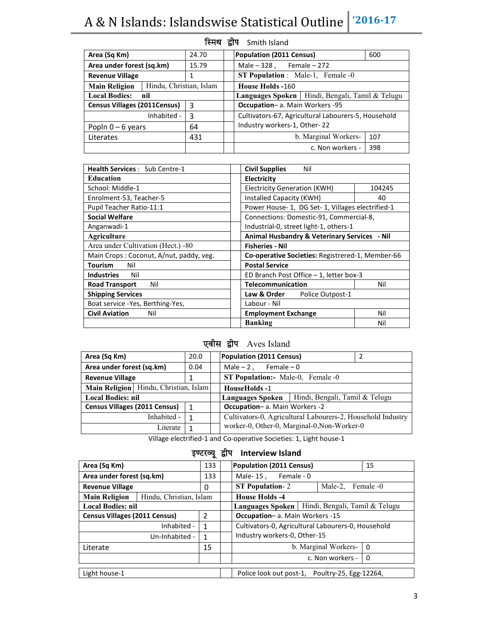| स्मिथ द्वीप Smith Island            |                         |       |                              |                                                     |     |  |  |
|-------------------------------------|-------------------------|-------|------------------------------|-----------------------------------------------------|-----|--|--|
| Area (Sq Km)                        |                         | 24.70 |                              | <b>Population (2011 Census)</b>                     | 600 |  |  |
| Area under forest (sq.km)           |                         | 15.79 |                              | Male $-328$ , Female $-272$                         |     |  |  |
| <b>Revenue Village</b>              |                         | 1     |                              | ST Population : Male-1, Female -0                   |     |  |  |
| <b>Main Religion</b>                | Hindu, Christian, Islam |       |                              | House Holds -160                                    |     |  |  |
| <b>Local Bodies:</b>                | nil                     |       |                              | Languages Spoken   Hindi, Bengali, Tamil & Telugu   |     |  |  |
| <b>Census Villages (2011Census)</b> |                         | 3     |                              | Occupation- a. Main Workers -95                     |     |  |  |
|                                     | Inhabited -             | 3     |                              | Cultivators-67, Agricultural Labourers-5, Household |     |  |  |
| Popln $0 - 6$ years<br>64           |                         |       | Industry workers-1, Other-22 |                                                     |     |  |  |
| 431<br>Literates                    |                         |       |                              | b. Marginal Workers-                                | 107 |  |  |
|                                     |                         |       |                              | c. Non workers -                                    | 398 |  |  |

| <b>Health Services: Sub Centre-1</b>    | <b>Civil Supplies</b><br>Nil                      |        |  |  |  |
|-----------------------------------------|---------------------------------------------------|--------|--|--|--|
| <b>Education</b>                        | Electricity                                       |        |  |  |  |
| School: Middle-1                        | Electricity Generation (KWH)                      | 104245 |  |  |  |
| Enrolment-53, Teacher-5                 | Installed Capacity (KWH)                          | 40     |  |  |  |
| Pupil Teacher Ratio-11:1                | Power House- 1, DG Set- 1, Villages electrified-1 |        |  |  |  |
| <b>Social Welfare</b>                   | Connections: Domestic-91, Commercial-8,           |        |  |  |  |
| Anganwadi-1                             | Industrial-0, street light-1, others-1            |        |  |  |  |
| Agriculture                             | Animal Husbandry & Veterinary Services - Nil      |        |  |  |  |
| Area under Cultivation (Hect.) -80      | <b>Fisheries - Nil</b>                            |        |  |  |  |
| Main Crops: Coconut, A/nut, paddy, veg. | Co-operative Societies: Registrered-1, Member-66  |        |  |  |  |
| <b>Tourism</b><br>Nil                   | <b>Postal Service</b>                             |        |  |  |  |
| <b>Industries</b><br>Nil                | ED Branch Post Office $-1$ , letter box-3         |        |  |  |  |
| Nil<br><b>Road Transport</b>            | <b>Telecommunication</b>                          | Nil    |  |  |  |
| <b>Shipping Services</b>                | Law & Order<br>Police Outpost-1                   |        |  |  |  |
| Boat service - Yes, Berthing-Yes,       | Labour - Nil                                      |        |  |  |  |
| <b>Civil Aviation</b><br>Nil            | <b>Employment Exchange</b><br>Nil                 |        |  |  |  |
|                                         | <b>Banking</b>                                    | Nil    |  |  |  |

एवीस द्वीप Aves Island

| 20.0                                    | Population (2011 Census)                                    |  |  |  |
|-----------------------------------------|-------------------------------------------------------------|--|--|--|
| 0.04                                    | Male $-2$ , Female $-0$                                     |  |  |  |
|                                         | <b>ST Population:</b> Male-0, Female -0                     |  |  |  |
| Main Religion   Hindu, Christian, Islam | HouseHolds-1                                                |  |  |  |
|                                         | Hindi, Bengali, Tamil & Telugu<br><b>Languages Spoken</b>   |  |  |  |
| $\cdot$ 1                               | Occupation- a. Main Workers -2                              |  |  |  |
| $\overline{1}$                          | Cultivators-0, Agricultural Labourers-2, Household Industry |  |  |  |
|                                         | worker-0, Other-0, Marginal-0, Non-Worker-0                 |  |  |  |
|                                         |                                                             |  |  |  |

Village electrified-1 and Co-operative Societies: 1, Light house-1

#### इण्टरव्यू द्वीप Interview Island

| Area (Sq Km)                                           |                         | 133 | <b>Population (2011 Census)</b>                    |  |                  | 15       |
|--------------------------------------------------------|-------------------------|-----|----------------------------------------------------|--|------------------|----------|
| Area under forest (sq.km)<br>133                       |                         |     | Male-15, Female-0                                  |  |                  |          |
| <b>Revenue Village</b>                                 |                         | 0   | Male-2, Female -0<br><b>ST Population-2</b>        |  |                  |          |
| <b>Main Religion</b>                                   | Hindu, Christian, Islam |     | <b>House Holds -4</b>                              |  |                  |          |
| <b>Local Bodies: nil</b>                               |                         |     | Hindi, Bengali, Tamil & Telugu<br>Languages Spoken |  |                  |          |
| <b>Census Villages (2011 Census)</b><br>$\overline{2}$ |                         |     | <b>Occupation-</b> a. Main Workers -15             |  |                  |          |
|                                                        | Inhabited -             | 1   | Cultivators-0, Agricultural Labourers-0, Household |  |                  |          |
|                                                        | Un-Inhabited -          | 1   | Industry workers-0, Other-15                       |  |                  |          |
| 15<br>Literate                                         |                         |     | b. Marginal Workers-<br>$\Omega$                   |  |                  |          |
|                                                        |                         |     |                                                    |  | c. Non workers - | $\Omega$ |
| Light house-1                                          |                         |     | Police look out post-1, Poultry-25, Egg-12264,     |  |                  |          |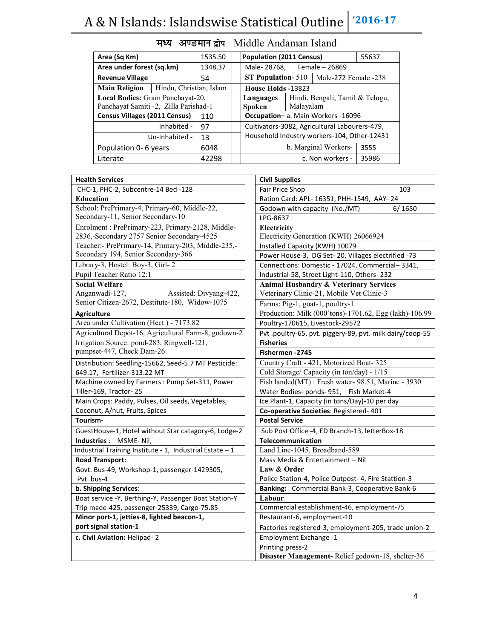| 1535.50<br>Area (Sq Km)               |  |                         |                                               | <b>Population (2011 Census)</b><br>55637 |                      |       |
|---------------------------------------|--|-------------------------|-----------------------------------------------|------------------------------------------|----------------------|-------|
| Area under forest (sq.km)<br>1348.37  |  |                         | Male-28768,                                   |                                          | Female - 26869       |       |
| <b>Revenue Village</b>                |  | 54                      | <b>ST Population-510</b>                      |                                          | Male-272 Female -238 |       |
| <b>Main Religion</b>                  |  | Hindu, Christian, Islam | House Holds -13823                            |                                          |                      |       |
| Local Bodies: Gram Panchayat-20,      |  |                         | Languages                                     | Hindi, Bengali, Tamil & Telugu,          |                      |       |
| Panchayat Samiti -2, Zilla Parishad-1 |  |                         | Malayalam<br><b>Spoken</b>                    |                                          |                      |       |
| <b>Census Villages (2011 Census)</b>  |  | 110                     | Occupation- a. Main Workers -16096            |                                          |                      |       |
| Inhabited -                           |  | 97                      | Cultivators-3082, Agricultural Labourers-479, |                                          |                      |       |
| Un-Inhabited -<br>13                  |  |                         | Household Industry workers-104, Other-12431   |                                          |                      |       |
| Population 0-6 years<br>6048          |  |                         |                                               |                                          | b. Marginal Workers- | 3555  |
| Literate                              |  | 42298                   |                                               |                                          | c. Non workers -     | 35986 |

## मध्य अण्डमान द्वीप Middle Andaman Island

| <b>Health Services</b>                                   | <b>Civil Supplies</b>                                     |        |
|----------------------------------------------------------|-----------------------------------------------------------|--------|
| CHC-1, PHC-2, Subcentre-14 Bed -128                      | Fair Price Shop                                           | 103    |
| <b>Education</b>                                         | Ration Card: APL- 16351, PHH-1549, AAY- 24                |        |
| School: PrePrimary-4, Primary-60, Middle-22,             | Godown with capacity (No./MT)                             | 6/1650 |
| Secondary-11, Senior Secondary-10                        | LPG-8637                                                  |        |
| Enrolment: PrePrimary-223, Primary-2128, Middle-         | Electricity                                               |        |
| 2836,-Secondary 2757 Senior Secondary-4525               | Electricity Generation (KWH) 26066924                     |        |
| Teacher:- PrePrimary-14, Primary-203, Middle-235,-       | Installed Capacity (KWH) 10079                            |        |
| Secondary 194, Senior Secondary-366                      | Power House-3, DG Set- 20, Villages electrified -73       |        |
| Library-3, Hostel: Boy-3, Girl-2                         | Connections: Domestic - 17024, Commercial-3341,           |        |
| Pupil Teacher Ratio 12:1                                 | Industrial-58, Street Light-110, Others-232               |        |
| <b>Social Welfare</b>                                    | <b>Animal Husbandry &amp; Veterinary Services</b>         |        |
| Anganwadi-127,<br>Assisted: Divyang-422,                 | Veterinary Clinic-21, Mobile Vet Clinic-3                 |        |
| Senior Citizen-2672, Destitute-180, Widow-1075           | Farms: Pig-1, goat-1, poultry-1                           |        |
| <b>Agriculture</b>                                       | Production: Milk (000'tons)-1701.62, Egg (lakh)-106.99    |        |
| Area under Cultivation (Hect.) - 7173.82                 | Poultry-170615, Livestock-29572                           |        |
| Agricultural Depot-16, Agricultural Farm-8, godown-2     | Pvt .poultry-65, pvt. piggery-89, pvt. milk dairy/coop-55 |        |
| Irrigation Source: pond-283, Ringwell-121,               | <b>Fisheries</b>                                          |        |
| pumpset-447, Check Dam-26                                | Fishermen -2745                                           |        |
| Distribution: Seedling-15662, Seed-5.7 MT Pesticide:     | Country Craft - 421, Motorized Boat-325                   |        |
| 649.17, Fertilizer-313.22 MT                             | Cold Storage/ Capacity (in ton/day) - 1/15                |        |
| Machine owned by Farmers: Pump Set-311, Power            | Fish landed(MT): Fresh water-98.51, Marine - 3930         |        |
| Tiller-169, Tractor-25                                   | Water Bodies- ponds-951, Fish Market-4                    |        |
| Main Crops: Paddy, Pulses, Oil seeds, Vegetables,        | Ice Plant-1, Capacity (in tons/Day)-10 per day            |        |
| Coconut, A/nut, Fruits, Spices                           | Co-operative Societies: Registered- 401                   |        |
| Tourism-                                                 | <b>Postal Service</b>                                     |        |
| GuestHouse-1, Hotel without Star catagory-6, Lodge-2     | Sub Post Office -4, ED Branch-13, letterBox-18            |        |
| Industries : MSME-Nil,                                   | Telecommunication                                         |        |
| Industrial Training Institute - 1, Industrial Estate - 1 | Land Line-1045, Broadband-589                             |        |
| <b>Road Transport:</b>                                   | Mass Media & Entertainment - Nil                          |        |
| Govt. Bus-49, Workshop-1, passenger-1429305,             | Law & Order                                               |        |
| Pvt. bus-4                                               | Police Station-4, Police Outpost-4, Fire Stattion-3       |        |
| b. Shipping Services:                                    | Banking: Commercial Bank-3, Cooperative Bank-6            |        |
| Boat service -Y, Berthing-Y, Passenger Boat Station-Y    | Labour                                                    |        |
| Trip made-425, passenger-25339, Cargo-75.85              | Commercial establishment-46, employment-75                |        |
| Minor port-1, jetties-8, lighted beacon-1,               | Restaurant-6, employment-10                               |        |
| port signal station-1                                    | Factories registered-3, employment-205, trade union-2     |        |
| c. Civil Aviation: Helipad-2                             | Employment Exchange -1                                    |        |
|                                                          | Printing press-2                                          |        |
|                                                          | Disaster Management-Relief godown-18, shelter-36          |        |
|                                                          |                                                           |        |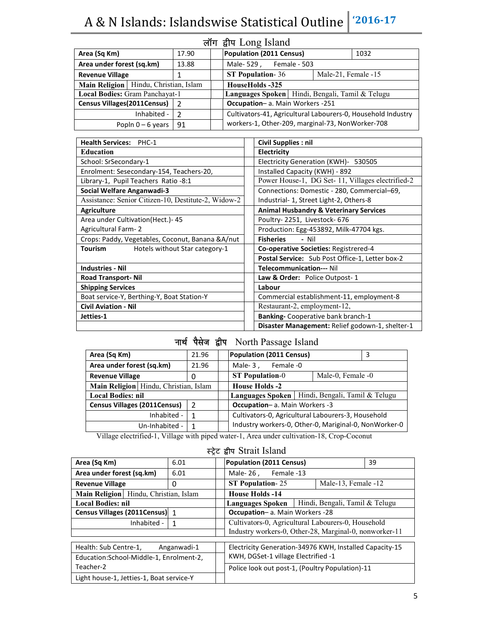| लॉग द्वीप Long Island                                                         |                |                                                              |  |  |  |  |  |
|-------------------------------------------------------------------------------|----------------|--------------------------------------------------------------|--|--|--|--|--|
| Area (Sq Km)                                                                  | 17.90          | Population (2011 Census)<br>1032                             |  |  |  |  |  |
| Area under forest (sq.km)                                                     | 13.88          | Male-529, Female - 503                                       |  |  |  |  |  |
| <b>Revenue Village</b>                                                        |                | <b>ST Population-36</b><br>Male-21, Female -15               |  |  |  |  |  |
| Main Religion   Hindu, Christian, Islam                                       |                | HouseHolds -325                                              |  |  |  |  |  |
| Local Bodies: Gram Panchayat-1                                                |                | Languages Spoken   Hindi, Bengali, Tamil & Telugu            |  |  |  |  |  |
| <b>Census Villages(2011Census)</b>                                            | $\overline{2}$ | Occupation- a. Main Workers -251                             |  |  |  |  |  |
| Inhabited -                                                                   | -2             | Cultivators-41, Agricultural Labourers-0, Household Industry |  |  |  |  |  |
| workers-1, Other-209, marginal-73, NonWorker-708<br>Popln $0 - 6$ years<br>91 |                |                                                              |  |  |  |  |  |

| <b>Health Services: PHC-1</b>                       | <b>Civil Supplies: nil</b>                        |
|-----------------------------------------------------|---------------------------------------------------|
| <b>Education</b>                                    | Electricity                                       |
| School: SrSecondary-1                               | Electricity Generation (KWH)- 530505              |
| Enrolment: Sesecondary-154, Teachers-20,            | Installed Capacity (KWH) - 892                    |
| Library-1, Pupil Teachers Ratio -8:1                | Power House-1, DG Set-11, Villages electrified-2  |
| Social Welfare Anganwadi-3                          | Connections: Domestic - 280, Commercial-69,       |
| Assistance: Senior Citizen-10, Destitute-2, Widow-2 | Industrial- 1, Street Light-2, Others-8           |
| <b>Agriculture</b>                                  | <b>Animal Husbandry &amp; Veterinary Services</b> |
| Area under Cultivation (Hect.) - 45                 | Poultry-2251, Livestock-676                       |
| <b>Agricultural Farm-2</b>                          | Production: Egg-453892, Milk-47704 kgs.           |
| Crops: Paddy, Vegetables, Coconut, Banana & A/nut   | <b>Fisheries</b><br>- Nil                         |
| Tourism<br>Hotels without Star category-1           | Co-operative Societies: Registrered-4             |
|                                                     | Postal Service: Sub Post Office-1, Letter box-2   |
| <b>Industries - Nil</b>                             | <b>Telecommunication--- Nil</b>                   |
| <b>Road Transport-Nil</b>                           | Law & Order: Police Outpost-1                     |
| <b>Shipping Services</b>                            | Labour                                            |
| Boat service-Y, Berthing-Y, Boat Station-Y          | Commercial establishment-11, employment-8         |
| <b>Civil Aviation - Nil</b>                         | Restaurant-2, employment-12,                      |
| Jetties-1                                           | <b>Banking-Cooperative bank branch-1</b>          |
|                                                     | Disaster Management: Relief godown-1, shelter-1   |

|  |  |  | नार्थ पैसेज द्वीप North Passage Island |  |
|--|--|--|----------------------------------------|--|
|--|--|--|----------------------------------------|--|

| Area (Sq Km)                          | 21.96                    | Population (2011 Census)                                                                                                                                                                                                                                                                                    |  |  |  |  |
|---------------------------------------|--------------------------|-------------------------------------------------------------------------------------------------------------------------------------------------------------------------------------------------------------------------------------------------------------------------------------------------------------|--|--|--|--|
| Area under forest (sq.km)             | 21.96                    | Male-3, Female-0                                                                                                                                                                                                                                                                                            |  |  |  |  |
| <b>Revenue Village</b>                |                          | <b>ST Population-0</b><br>Male-0, Female -0                                                                                                                                                                                                                                                                 |  |  |  |  |
| Main Religion Hindu, Christian, Islam |                          | <b>House Holds -2</b>                                                                                                                                                                                                                                                                                       |  |  |  |  |
| <b>Local Bodies: nil</b>              |                          | Languages Spoken   Hindi, Bengali, Tamil & Telugu                                                                                                                                                                                                                                                           |  |  |  |  |
| <b>Census Villages (2011Census)</b>   | $\overline{\phantom{a}}$ | <b>Occupation-a. Main Workers -3</b>                                                                                                                                                                                                                                                                        |  |  |  |  |
| Inhabited -                           |                          | Cultivators-0, Agricultural Labourers-3, Household                                                                                                                                                                                                                                                          |  |  |  |  |
| Un-Inhabited -                        |                          | Industry workers-0, Other-0, Mariginal-0, NonWorker-0                                                                                                                                                                                                                                                       |  |  |  |  |
| $x + 11$                              |                          | $\mathbf{1}$ , $\mathbf{1}$ , $\mathbf{1}$ , $\mathbf{1}$ , $\mathbf{1}$ , $\mathbf{1}$ , $\mathbf{1}$ , $\mathbf{1}$ , $\mathbf{1}$ , $\mathbf{1}$ , $\mathbf{1}$ , $\mathbf{1}$ , $\mathbf{1}$ , $\mathbf{1}$ , $\mathbf{1}$ , $\mathbf{1}$ , $\mathbf{1}$ , $\mathbf{1}$ , $\mathbf{1}$ , $\mathbf{1}$ , |  |  |  |  |

Village electrified-1, Village with piped water-1, Area under cultivation-18, Crop-Coconut

#### ेट *}hi* Strait Island

| Area (Sq Km)                                                     | 6.01        | <b>Population (2011 Census)</b>                                                                | 39                  |  |  |  |
|------------------------------------------------------------------|-------------|------------------------------------------------------------------------------------------------|---------------------|--|--|--|
| Area under forest (sq.km)                                        | 6.01        | Male-26, Female-13                                                                             |                     |  |  |  |
| <b>Revenue Village</b>                                           | 0           | <b>ST Population-25</b>                                                                        | Male-13, Female -12 |  |  |  |
| Main Religion Hindu, Christian, Islam                            |             | <b>House Holds -14</b>                                                                         |                     |  |  |  |
| <b>Local Bodies: nil</b>                                         |             | Hindi, Bengali, Tamil & Telugu<br>Languages Spoken                                             |                     |  |  |  |
| Census Villages (2011Census) 1                                   |             | <b>Occupation-</b> a. Main Workers -28                                                         |                     |  |  |  |
| Inhabited -                                                      | 1           | Cultivators-0, Agricultural Labourers-0, Household                                             |                     |  |  |  |
|                                                                  |             | Industry workers-0, Other-28, Marginal-0, nonworker-11                                         |                     |  |  |  |
| Health: Sub Centre-1,<br>Education:School-Middle-1, Enrolment-2, | Anganwadi-1 | Electricity Generation-34976 KWH, Installed Capacity-15<br>KWH, DGSet-1 village Electrified -1 |                     |  |  |  |
| Teacher-2                                                        |             | Police look out post-1, (Poultry Population)-11                                                |                     |  |  |  |
| Light house-1, Jetties-1, Boat service-Y                         |             |                                                                                                |                     |  |  |  |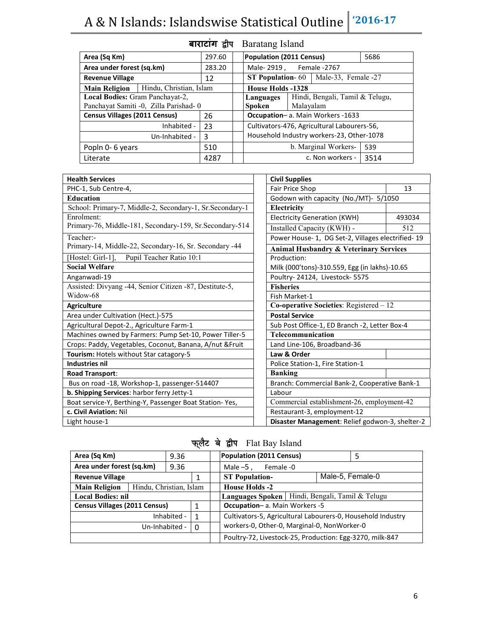|                                      | बाराटांग द्वीप                        | Baratang Island |  |                                              |                                         |                                    |      |
|--------------------------------------|---------------------------------------|-----------------|--|----------------------------------------------|-----------------------------------------|------------------------------------|------|
| Area (Sq Km)<br>297.60               |                                       |                 |  |                                              | <b>Population (2011 Census)</b><br>5686 |                                    |      |
| Area under forest (sq.km)            |                                       | 283.20          |  | Male-2919, Female-2767                       |                                         |                                    |      |
| <b>Revenue Village</b>               |                                       | 12              |  | <b>ST Population-60</b>                      |                                         | Male-33, Female -27                |      |
| <b>Main Religion</b>                 | Hindu, Christian, Islam               |                 |  | <b>House Holds -1328</b>                     |                                         |                                    |      |
| Local Bodies: Gram Panchayat-2,      |                                       |                 |  | Hindi, Bengali, Tamil & Telugu,<br>Languages |                                         |                                    |      |
|                                      | Panchayat Samiti -0, Zilla Parishad-0 |                 |  | Malayalam<br>Spoken                          |                                         |                                    |      |
| <b>Census Villages (2011 Census)</b> |                                       | 26              |  |                                              |                                         | Occupation- a. Main Workers - 1633 |      |
|                                      | Inhabited -                           | 23              |  | Cultivators-476, Agricultural Labourers-56,  |                                         |                                    |      |
| Un-Inhabited -<br>3                  |                                       |                 |  | Household Industry workers-23, Other-1078    |                                         |                                    |      |
| 510<br>Popln 0-6 years               |                                       |                 |  |                                              |                                         | b. Marginal Workers-               | 539  |
| 4287<br>Literate                     |                                       |                 |  |                                              |                                         | c. Non workers -                   | 3514 |

| <b>Health Services</b>                                   | <b>Civil Supplies</b>                             |        |  |  |
|----------------------------------------------------------|---------------------------------------------------|--------|--|--|
| PHC-1, Sub Centre-4,                                     | Fair Price Shop<br>13                             |        |  |  |
| <b>Education</b>                                         | Godown with capacity (No./MT)- 5/1050             |        |  |  |
| School: Primary-7, Middle-2, Secondary-1, Sr.Secondary-1 | Electricity                                       |        |  |  |
| Enrolment:                                               | <b>Electricity Generation (KWH)</b>               | 493034 |  |  |
| Primary-76, Middle-181, Secondary-159, Sr.Secondary-514  | Installed Capacity (KWH) -                        | 512    |  |  |
| Teacher:-                                                | Power House-1, DG Set-2, Villages electrified-19  |        |  |  |
| Primary-14, Middle-22, Secondary-16, Sr. Secondary-44    | <b>Animal Husbandry &amp; Veterinary Services</b> |        |  |  |
| [Hostel: Girl-1],<br>Pupil Teacher Ratio 10:1            | Production:                                       |        |  |  |
| <b>Social Welfare</b>                                    | Milk (000'tons)-310.559, Egg (in lakhs)-10.65     |        |  |  |
| Anganwadi-19                                             | Poultry-24124, Livestock-5575                     |        |  |  |
| Assisted: Divyang -44, Senior Citizen -87, Destitute-5,  | <b>Fisheries</b>                                  |        |  |  |
| Widow-68                                                 | Fish Market-1                                     |        |  |  |
| <b>Agriculture</b>                                       | Co-operative Societies: Registered $-12$          |        |  |  |
| Area under Cultivation (Hect.)-575                       | <b>Postal Service</b>                             |        |  |  |
| Agricultural Depot-2., Agriculture Farm-1                | Sub Post Office-1, ED Branch -2, Letter Box-4     |        |  |  |
| Machines owned by Farmers: Pump Set-10, Power Tiller-5   | <b>Telecommunication</b>                          |        |  |  |
| Crops: Paddy, Vegetables, Coconut, Banana, A/nut & Fruit | Land Line-106, Broadband-36                       |        |  |  |
| Tourism: Hotels without Star catagory-5                  | Law & Order                                       |        |  |  |
| Industries nil                                           | Police Station-1, Fire Station-1                  |        |  |  |
| <b>Road Transport:</b>                                   | <b>Banking</b>                                    |        |  |  |
| Bus on road -18, Workshop-1, passenger-514407            | Branch: Commercial Bank-2, Cooperative Bank-1     |        |  |  |
| b. Shipping Services: harbor ferry Jetty-1               | Labour                                            |        |  |  |
| Boat service-Y, Berthing-Y, Passenger Boat Station-Yes,  | Commercial establishment-26, employment-42        |        |  |  |
| c. Civil Aviation: Nil                                   | Restaurant-3, employment-12                       |        |  |  |
| $1: -1 + 1 -  - 4$                                       | Disaster Menagement: Deliaf godinan 3, chalter    |        |  |  |

| <b>Health Services</b>                                   | <b>Civil Supplies</b>                             |        |  |
|----------------------------------------------------------|---------------------------------------------------|--------|--|
| PHC-1, Sub Centre-4,                                     | Fair Price Shop                                   | 13     |  |
| <b>Education</b>                                         | Godown with capacity (No./MT)- 5/1050             |        |  |
| School: Primary-7, Middle-2, Secondary-1, Sr.Secondary-1 | Electricity                                       |        |  |
| Enrolment:                                               | <b>Electricity Generation (KWH)</b>               | 493034 |  |
| Primary-76, Middle-181, Secondary-159, Sr.Secondary-514  | Installed Capacity (KWH) -                        | 512    |  |
| Teacher:-                                                | Power House-1, DG Set-2, Villages electrified-19  |        |  |
| Primary-14, Middle-22, Secondary-16, Sr. Secondary -44   | <b>Animal Husbandry &amp; Veterinary Services</b> |        |  |
| [Hostel: Girl-1],<br>Pupil Teacher Ratio 10:1            | Production:                                       |        |  |
| <b>Social Welfare</b>                                    | Milk (000'tons)-310.559, Egg (in lakhs)-10.65     |        |  |
| Anganwadi-19                                             | Poultry-24124, Livestock-5575                     |        |  |
| Assisted: Divyang -44, Senior Citizen -87, Destitute-5,  | <b>Fisheries</b>                                  |        |  |
| Widow-68                                                 | Fish Market-1                                     |        |  |
| <b>Agriculture</b>                                       | Co-operative Societies: Registered - 12           |        |  |
| Area under Cultivation (Hect.)-575                       | <b>Postal Service</b>                             |        |  |
| Agricultural Depot-2., Agriculture Farm-1                | Sub Post Office-1, ED Branch -2, Letter Box-4     |        |  |
| Machines owned by Farmers: Pump Set-10, Power Tiller-5   | <b>Telecommunication</b>                          |        |  |
| Crops: Paddy, Vegetables, Coconut, Banana, A/nut & Fruit | Land Line-106, Broadband-36                       |        |  |
| Tourism: Hotels without Star catagory-5                  | Law & Order                                       |        |  |
| <b>Industries nil</b>                                    | Police Station-1, Fire Station-1                  |        |  |
| Road Transport:                                          | <b>Banking</b>                                    |        |  |
| Bus on road -18, Workshop-1, passenger-514407            | Branch: Commercial Bank-2, Cooperative Bank-1     |        |  |
| b. Shipping Services: harbor ferry Jetty-1               | Labour                                            |        |  |
| Boat service-Y, Berthing-Y, Passenger Boat Station-Yes,  | Commercial establishment-26, employment-42        |        |  |
| c. Civil Aviation: Nil                                   | Restaurant-3, employment-12                       |        |  |
| Light house-1                                            | Disaster Management: Relief godwon-3, shelter-2   |        |  |
|                                                          |                                                   |        |  |

## फ्लैट बे द्वीप Flat Bay Island

| Area (Sq Km)                                                             | 9.36                                                      |  |                          | Population (2011 Census)                                    | 5                |  |
|--------------------------------------------------------------------------|-----------------------------------------------------------|--|--------------------------|-------------------------------------------------------------|------------------|--|
| Area under forest (sq.km)<br>9.36                                        |                                                           |  | Male $-5$ ,<br>Female -0 |                                                             |                  |  |
| <b>Revenue Village</b>                                                   |                                                           |  |                          | <b>ST</b> Population-                                       | Male-5, Female-0 |  |
| Hindu, Christian, Islam<br><b>Main Religion</b><br><b>House Holds -2</b> |                                                           |  |                          |                                                             |                  |  |
| <b>Local Bodies: nil</b>                                                 | Hindi, Bengali, Tamil & Telugu<br><b>Languages Spoken</b> |  |                          |                                                             |                  |  |
| <b>Census Villages (2011 Census)</b>                                     |                                                           |  |                          | <b>Occupation-</b> a. Main Workers -5                       |                  |  |
| Inhabited -                                                              |                                                           |  |                          | Cultivators-5, Agricultural Labourers-0, Household Industry |                  |  |
| Un-Inhabited -                                                           |                                                           |  |                          | workers-0, Other-0, Marginal-0, NonWorker-0                 |                  |  |
|                                                                          |                                                           |  |                          | Poultry-72, Livestock-25, Production: Egg-3270, milk-847    |                  |  |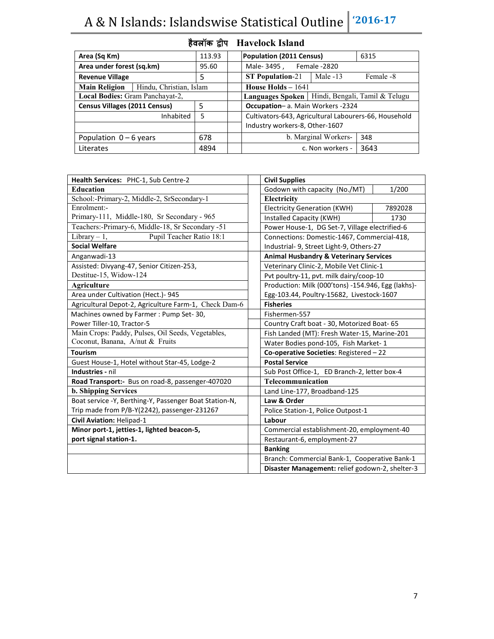| Area (Sq Km)                                    | 113.93 |                                                   | <b>Population (2011 Census)</b>                       |                      | 6315      |  |  |  |
|-------------------------------------------------|--------|---------------------------------------------------|-------------------------------------------------------|----------------------|-----------|--|--|--|
| Area under forest (sq.km)<br>95.60              |        |                                                   | Male-3495, Female -2820                               |                      |           |  |  |  |
| <b>Revenue Village</b>                          | 5      |                                                   | <b>ST Population-21</b>                               | Male $-13$           | Female -8 |  |  |  |
| Hindu, Christian, Islam<br><b>Main Religion</b> |        | House Holds $-1641$                               |                                                       |                      |           |  |  |  |
| Local Bodies: Gram Panchayat-2,                 |        | Languages Spoken   Hindi, Bengali, Tamil & Telugu |                                                       |                      |           |  |  |  |
| <b>Census Villages (2011 Census)</b><br>5       |        |                                                   | Occupation- a. Main Workers -2324                     |                      |           |  |  |  |
| Inhabited<br>5                                  |        |                                                   | Cultivators-643, Agricultural Labourers-66, Household |                      |           |  |  |  |
|                                                 |        |                                                   | Industry workers-8, Other-1607                        |                      |           |  |  |  |
| Population $0 - 6$ years                        | 678    |                                                   |                                                       | b. Marginal Workers- | 348       |  |  |  |
| Literates                                       | 4894   |                                                   |                                                       | c. Non workers -     | 3643      |  |  |  |
|                                                 |        |                                                   |                                                       |                      |           |  |  |  |

## **हैवल***k W***क**}hi **Havelock Island**

| Health Services: PHC-1, Sub Centre-2                   | <b>Civil Supplies</b>                              |                                              |  |  |  |
|--------------------------------------------------------|----------------------------------------------------|----------------------------------------------|--|--|--|
| <b>Education</b>                                       | Godown with capacity (No./MT)                      | 1/200                                        |  |  |  |
| School:-Primary-2, Middle-2, SrSecondary-1             | Electricity                                        |                                              |  |  |  |
| Enrolment:-                                            | <b>Electricity Generation (KWH)</b>                | 7892028                                      |  |  |  |
| Primary-111, Middle-180, Sr Secondary - 965            | Installed Capacity (KWH)                           | 1730                                         |  |  |  |
| Teachers:-Primary-6, Middle-18, Sr Secondary -51       | Power House-1, DG Set-7, Village electrified-6     |                                              |  |  |  |
| Pupil Teacher Ratio 18:1<br>Library $-1$ ,             | Connections: Domestic-1467, Commercial-418,        |                                              |  |  |  |
| <b>Social Welfare</b>                                  | Industrial- 9, Street Light-9, Others-27           |                                              |  |  |  |
| Anganwadi-13                                           | <b>Animal Husbandry &amp; Veterinary Services</b>  |                                              |  |  |  |
| Assisted: Divyang-47, Senior Citizen-253,              | Veterinary Clinic-2, Mobile Vet Clinic-1           |                                              |  |  |  |
| Destitue-15, Widow-124                                 | Pvt poultry-11, pvt. milk dairy/coop-10            |                                              |  |  |  |
| <b>Agriculture</b>                                     | Production: Milk (000'tons) -154.946, Egg (lakhs)- |                                              |  |  |  |
| Area under Cultivation (Hect.)- 945                    | Egg-103.44, Poultry-15682, Livestock-1607          |                                              |  |  |  |
| Agricultural Depot-2, Agriculture Farm-1, Check Dam-6  | <b>Fisheries</b>                                   |                                              |  |  |  |
| Machines owned by Farmer: Pump Set-30,                 | Fishermen-557                                      |                                              |  |  |  |
| Power Tiller-10, Tractor-5                             | Country Craft boat - 30, Motorized Boat-65         |                                              |  |  |  |
| Main Crops: Paddy, Pulses, Oil Seeds, Vegetables,      |                                                    | Fish Landed (MT): Fresh Water-15, Marine-201 |  |  |  |
| Coconut, Banana, A/nut & Fruits                        | Water Bodies pond-105, Fish Market-1               |                                              |  |  |  |
| <b>Tourism</b>                                         | Co-operative Societies: Registered - 22            |                                              |  |  |  |
| Guest House-1, Hotel without Star-45, Lodge-2          | <b>Postal Service</b>                              |                                              |  |  |  |
| Industries - nil                                       | Sub Post Office-1, ED Branch-2, letter box-4       |                                              |  |  |  |
| Road Transport: Bus on road-8, passenger-407020        | Telecommunication                                  |                                              |  |  |  |
| <b>b. Shipping Services</b>                            | Land Line-177, Broadband-125                       |                                              |  |  |  |
| Boat service -Y, Berthing-Y, Passenger Boat Station-N, | Law & Order                                        |                                              |  |  |  |
| Trip made from P/B-Y(2242), passenger-231267           | Police Station-1, Police Outpost-1                 |                                              |  |  |  |
| Civil Aviation: Helipad-1                              | Labour                                             |                                              |  |  |  |
| Minor port-1, jetties-1, lighted beacon-5,             | Commercial establishment-20, employment-40         |                                              |  |  |  |
| port signal station-1.                                 | Restaurant-6, employment-27                        |                                              |  |  |  |
|                                                        | <b>Banking</b>                                     |                                              |  |  |  |
|                                                        | Branch: Commercial Bank-1, Cooperative Bank-1      |                                              |  |  |  |
|                                                        | Disaster Management: relief godown-2, shelter-3    |                                              |  |  |  |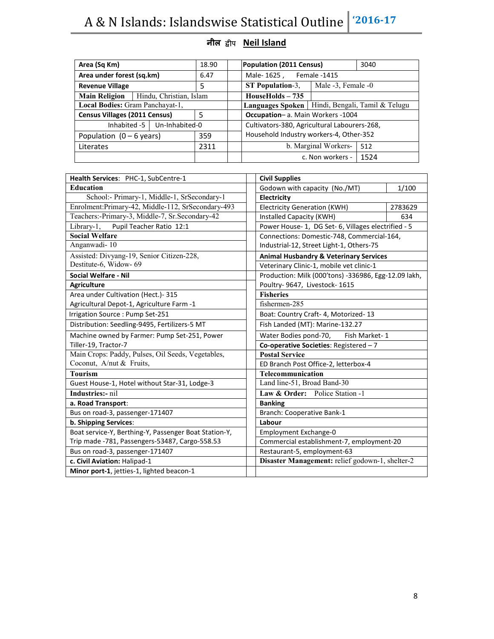# **नील** *}hi* **Neil Island**

| Area (Sq Km)                                    |  |                               | 18.90                                             | <b>Population (2011 Census)</b>               |                  | 3040 |
|-------------------------------------------------|--|-------------------------------|---------------------------------------------------|-----------------------------------------------|------------------|------|
| Area under forest (sq.km)                       |  |                               | 6.47                                              | Male-1625, Female-1415                        |                  |      |
| <b>Revenue Village</b>                          |  |                               | 5                                                 | Male -3, Female -0<br><b>ST Population-3.</b> |                  |      |
| Hindu, Christian, Islam<br><b>Main Religion</b> |  |                               |                                                   | $HouseHolds - 735$                            |                  |      |
| Local Bodies: Gram Panchayat-1,                 |  |                               | Languages Spoken   Hindi, Bengali, Tamil & Telugu |                                               |                  |      |
| <b>Census Villages (2011 Census)</b><br>5       |  |                               |                                                   | Occupation- a. Main Workers -1004             |                  |      |
|                                                 |  | Inhabited -5   Un-Inhabited-0 |                                                   | Cultivators-380, Agricultural Labourers-268,  |                  |      |
| Population $(0 - 6$ years)                      |  |                               | 359                                               | Household Industry workers-4, Other-352       |                  |      |
| Literates                                       |  | 2311                          | b. Marginal Workers-<br>512                       |                                               |                  |      |
|                                                 |  |                               |                                                   |                                               | c. Non workers - | 1524 |

| Health Services: PHC-1, SubCentre-1                                      |                                         | <b>Civil Supplies</b>                                |         |  |  |  |  |
|--------------------------------------------------------------------------|-----------------------------------------|------------------------------------------------------|---------|--|--|--|--|
| <b>Education</b>                                                         |                                         | Godown with capacity (No./MT)                        | 1/100   |  |  |  |  |
| School:- Primary-1, Middle-1, SrSecondary-1                              |                                         | Electricity                                          |         |  |  |  |  |
| Enrolment:Primary-42, Middle-112, SrSecondary-493                        |                                         | <b>Electricity Generation (KWH)</b>                  | 2783629 |  |  |  |  |
| Teachers:-Primary-3, Middle-7, Sr.Secondary-42                           |                                         | Installed Capacity (KWH)                             | 634     |  |  |  |  |
| Library-1,<br>Pupil Teacher Ratio 12:1                                   |                                         | Power House-1, DG Set-6, Villages electrified - 5    |         |  |  |  |  |
| <b>Social Welfare</b>                                                    |                                         | Connections: Domestic-748, Commercial-164,           |         |  |  |  |  |
| Anganwadi-10                                                             |                                         | Industrial-12, Street Light-1, Others-75             |         |  |  |  |  |
| Assisted: Divyang-19, Senior Citizen-228,                                |                                         | <b>Animal Husbandry &amp; Veterinary Services</b>    |         |  |  |  |  |
| Destitute-6, Widow- 69                                                   |                                         | Veterinary Clinic-1, mobile vet clinic-1             |         |  |  |  |  |
| Social Welfare - Nil                                                     |                                         | Production: Milk (000'tons) -336986, Egg-12.09 lakh, |         |  |  |  |  |
| <b>Agriculture</b>                                                       |                                         | Poultry- 9647, Livestock- 1615                       |         |  |  |  |  |
| Area under Cultivation (Hect.) - 315                                     |                                         | Fisheries                                            |         |  |  |  |  |
| Agricultural Depot-1, Agriculture Farm -1                                |                                         | fishermen-285                                        |         |  |  |  |  |
| Irrigation Source: Pump Set-251<br>Boat: Country Craft- 4, Motorized- 13 |                                         |                                                      |         |  |  |  |  |
| Distribution: Seedling-9495, Fertilizers-5 MT                            | Fish Landed (MT): Marine-132.27         |                                                      |         |  |  |  |  |
| Machine owned by Farmer: Pump Set-251, Power                             | Water Bodies pond-70,<br>Fish Market-1  |                                                      |         |  |  |  |  |
| Tiller-19, Tractor-7                                                     | Co-operative Societies: Registered $-7$ |                                                      |         |  |  |  |  |
| Main Crops: Paddy, Pulses, Oil Seeds, Vegetables,                        |                                         | <b>Postal Service</b>                                |         |  |  |  |  |
| Coconut, A/nut & Fruits,                                                 |                                         | ED Branch Post Office-2, letterbox-4                 |         |  |  |  |  |
| <b>Tourism</b>                                                           |                                         | <b>Telecommunication</b>                             |         |  |  |  |  |
| Guest House-1, Hotel without Star-31, Lodge-3                            |                                         | Land line-51, Broad Band-30                          |         |  |  |  |  |
| <b>Industries:-</b> nil                                                  |                                         | Law & Order: Police Station -1                       |         |  |  |  |  |
| a. Road Transport:                                                       |                                         | <b>Banking</b>                                       |         |  |  |  |  |
| Bus on road-3, passenger-171407                                          |                                         | Branch: Cooperative Bank-1                           |         |  |  |  |  |
| b. Shipping Services:                                                    |                                         | Labour                                               |         |  |  |  |  |
| Boat service-Y, Berthing-Y, Passenger Boat Station-Y,                    |                                         | Employment Exchange-0                                |         |  |  |  |  |
| Trip made -781, Passengers-53487, Cargo-558.53                           |                                         | Commercial establishment-7, employment-20            |         |  |  |  |  |
| Bus on road-3, passenger-171407                                          | Restaurant-5, employment-63             |                                                      |         |  |  |  |  |
| c. Civil Aviation: Halipad-1                                             |                                         | Disaster Management: relief godown-1, shelter-2      |         |  |  |  |  |
| Minor port-1, jetties-1, lighted beacon-1                                |                                         |                                                      |         |  |  |  |  |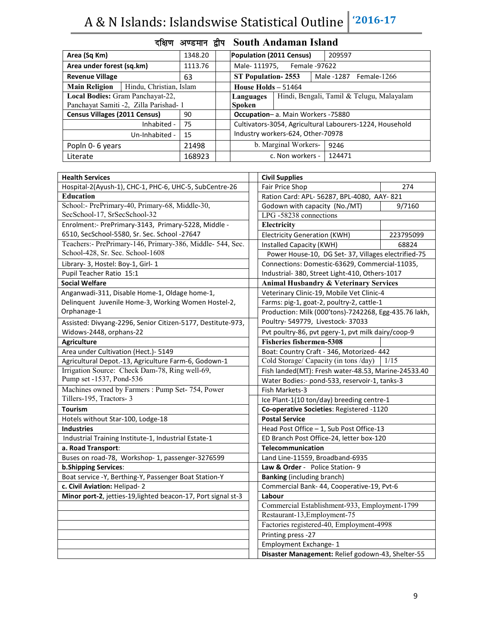| अण्डमान द्वीप<br><b>South Andaman Island</b><br>दक्षिण |         |                                                          |  |  |  |  |  |
|--------------------------------------------------------|---------|----------------------------------------------------------|--|--|--|--|--|
| Area (Sq Km)                                           | 1348.20 | <b>Population (2011 Census)</b><br>209597                |  |  |  |  |  |
| Area under forest (sq.km)                              | 1113.76 | Male- 111975, Female -97622                              |  |  |  |  |  |
| <b>Revenue Village</b>                                 | 63      | ST Population-2553<br>Male -1287<br>Female-1266          |  |  |  |  |  |
| Hindu, Christian, Islam<br><b>Main Religion</b>        |         | House Holds - 51464                                      |  |  |  |  |  |
| Local Bodies: Gram Panchayat-22,                       |         | Hindi, Bengali, Tamil & Telugu, Malayalam<br>Languages   |  |  |  |  |  |
| Panchayat Samiti -2, Zilla Parishad-1                  |         | <b>Spoken</b>                                            |  |  |  |  |  |
| Census Villages (2011 Census)                          | 90      | Occupation- a. Main Workers -75880                       |  |  |  |  |  |
| Inhabited -                                            | 75      | Cultivators-3054, Agricultural Labourers-1224, Household |  |  |  |  |  |
| Un-Inhabited -                                         | 15      | Industry workers-624, Other-70978                        |  |  |  |  |  |
| Popln 0-6 years                                        | 21498   | b. Marginal Workers-<br>9246                             |  |  |  |  |  |
| Literate                                               | 168923  | 124471<br>c. Non workers -                               |  |  |  |  |  |

| <b>Health Services</b>                                        | <b>Civil Supplies</b>                                 |           |  |  |  |
|---------------------------------------------------------------|-------------------------------------------------------|-----------|--|--|--|
| Hospital-2(Ayush-1), CHC-1, PHC-6, UHC-5, SubCentre-26        | Fair Price Shop<br>274                                |           |  |  |  |
| <b>Education</b>                                              | Ration Card: APL- 56287, BPL-4080, AAY- 821           |           |  |  |  |
| School:- PrePrimary-40, Primary-68, Middle-30,                | Godown with capacity (No./MT)<br>9/7160               |           |  |  |  |
| SecSchool-17, SrSecSchool-32                                  | LPG -58238 connections                                |           |  |  |  |
| Enrolment:- PrePrimary-3143, Primary-5228, Middle -           | Electricity                                           |           |  |  |  |
| 6510, SecSchool-5580, Sr. Sec. School -27647                  | <b>Electricity Generation (KWH)</b>                   | 223795099 |  |  |  |
| Teachers:- PrePrimary-146, Primary-386, Middle-544, Sec.      | Installed Capacity (KWH)                              | 68824     |  |  |  |
| School-428, Sr. Sec. School-1608                              | Power House-10, DG Set-37, Villages electrified-75    |           |  |  |  |
| Library- 3, Hostel: Boy-1, Girl- 1                            | Connections: Domestic-63629, Commercial-11035,        |           |  |  |  |
| Pupil Teacher Ratio 15:1                                      | Industrial- 380, Street Light-410, Others-1017        |           |  |  |  |
| <b>Social Welfare</b>                                         | <b>Animal Husbandry &amp; Veterinary Services</b>     |           |  |  |  |
| Anganwadi-311, Disable Home-1, Oldage home-1,                 | Veterinary Clinic-19, Mobile Vet Clinic-4             |           |  |  |  |
| Delinquent Juvenile Home-3, Working Women Hostel-2,           | Farms: pig-1, goat-2, poultry-2, cattle-1             |           |  |  |  |
| Orphanage-1                                                   | Production: Milk (000'tons)-7242268, Egg-435.76 lakh, |           |  |  |  |
| Assisted: Divyang-2296, Senior Citizen-5177, Destitute-973,   | Poultry- 549779, Livestock- 37033                     |           |  |  |  |
| Widows-2448, orphans-22                                       | Pvt poultry-86, pvt pgery-1, pvt milk dairy/coop-9    |           |  |  |  |
| <b>Agriculture</b>                                            | <b>Fisheries fishermen-5308</b>                       |           |  |  |  |
| Area under Cultivation (Hect.)- 5149                          | Boat: Country Craft - 346, Motorized- 442             |           |  |  |  |
| Agricultural Depot.-13, Agriculture Farm-6, Godown-1          | Cold Storage/ Capacity (in tons /day)                 | 1/15      |  |  |  |
| Irrigation Source: Check Dam-78, Ring well-69,                | Fish landed(MT): Fresh water-48.53, Marine-24533.40   |           |  |  |  |
| Pump set -1537, Pond-536                                      | Water Bodies:- pond-533, reservoir-1, tanks-3         |           |  |  |  |
| Machines owned by Farmers: Pump Set- 754, Power               | Fish Markets-3                                        |           |  |  |  |
| Tillers-195, Tractors-3                                       | Ice Plant-1(10 ton/day) breeding centre-1             |           |  |  |  |
| <b>Tourism</b>                                                | Co-operative Societies: Registered -1120              |           |  |  |  |
| Hotels without Star-100, Lodge-18                             | <b>Postal Service</b>                                 |           |  |  |  |
| <b>Industries</b>                                             | Head Post Office - 1, Sub Post Office-13              |           |  |  |  |
| Industrial Training Institute-1, Industrial Estate-1          | ED Branch Post Office-24, letter box-120              |           |  |  |  |
| a. Road Transport:                                            | Telecommunication                                     |           |  |  |  |
| Buses on road-78, Workshop- 1, passenger-3276599              | Land Line-11559, Broadband-6935                       |           |  |  |  |
| <b>b.Shipping Services:</b>                                   | Law & Order - Police Station- 9                       |           |  |  |  |
| Boat service -Y, Berthing-Y, Passenger Boat Station-Y         | <b>Banking</b> (including branch)                     |           |  |  |  |
| c. Civil Aviation: Helipad-2                                  | Commercial Bank- 44, Cooperative-19, Pvt-6            |           |  |  |  |
| Minor port-2, jetties-19, lighted beacon-17, Port signal st-3 | Labour                                                |           |  |  |  |
|                                                               | Commercial Establishment-933, Employment-1799         |           |  |  |  |
|                                                               | Restaurant-13, Employment-75                          |           |  |  |  |
|                                                               | Factories registered-40, Employment-4998              |           |  |  |  |
|                                                               | Printing press -27                                    |           |  |  |  |
|                                                               | Employment Exchange-1                                 |           |  |  |  |
|                                                               | Disaster Management: Relief godown-43, Shelter-55     |           |  |  |  |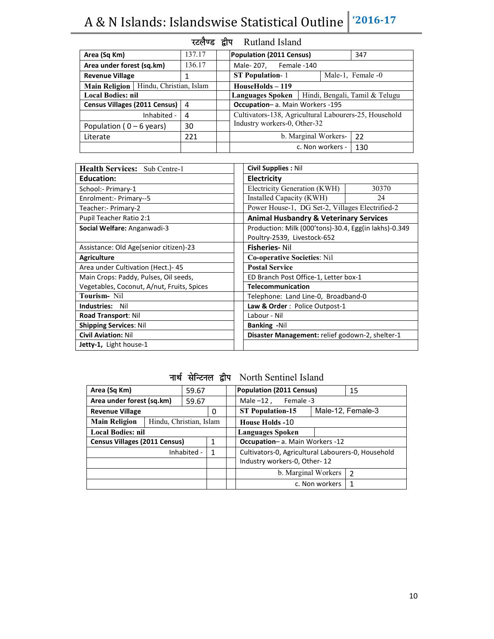# A & N Islands: Islandswise Statistical Outline **'2016-17**

| Area (Sq Km)                            | 137.17         |                                                       | <b>Population (2011 Census)</b><br>347 |                      |                                |  |  |
|-----------------------------------------|----------------|-------------------------------------------------------|----------------------------------------|----------------------|--------------------------------|--|--|
| Area under forest (sq.km)               | 136.17         | Male-207, Female-140                                  |                                        |                      |                                |  |  |
| <b>Revenue Village</b>                  | 1              | Male-1, Female -0<br><b>ST Population-1</b>           |                                        |                      |                                |  |  |
| Main Religion   Hindu, Christian, Islam | HouseHolds-119 |                                                       |                                        |                      |                                |  |  |
| <b>Local Bodies: nil</b>                |                | <b>Languages Spoken</b>                               |                                        |                      | Hindi, Bengali, Tamil & Telugu |  |  |
| Census Villages (2011 Census)           | $\overline{4}$ | Occupation-a. Main Workers -195                       |                                        |                      |                                |  |  |
| Inhabited -                             | 4              | Cultivators-138, Agricultural Labourers-25, Household |                                        |                      |                                |  |  |
| Population ( $0 - 6$ years)             | 30             | Industry workers-0, Other-32                          |                                        |                      |                                |  |  |
| Literate                                | 221            |                                                       |                                        | b. Marginal Workers- | 22                             |  |  |
|                                         |                |                                                       |                                        | c. Non workers -     | 130                            |  |  |

| <b>Civil Supplies: Nil</b>                      |                                                                                                                                                                                                      |  |  |
|-------------------------------------------------|------------------------------------------------------------------------------------------------------------------------------------------------------------------------------------------------------|--|--|
| <b>Electricity</b>                              |                                                                                                                                                                                                      |  |  |
| Electricity Generation (KWH)                    | 30370                                                                                                                                                                                                |  |  |
| Installed Capacity (KWH)                        | 24                                                                                                                                                                                                   |  |  |
|                                                 |                                                                                                                                                                                                      |  |  |
|                                                 |                                                                                                                                                                                                      |  |  |
|                                                 |                                                                                                                                                                                                      |  |  |
| Poultry-2539, Livestock-652                     |                                                                                                                                                                                                      |  |  |
| <b>Fisheries-Nil</b>                            |                                                                                                                                                                                                      |  |  |
| <b>Co-operative Societies: Nil</b>              |                                                                                                                                                                                                      |  |  |
| <b>Postal Service</b>                           |                                                                                                                                                                                                      |  |  |
| ED Branch Post Office-1, Letter box-1           |                                                                                                                                                                                                      |  |  |
| <b>Telecommunication</b>                        |                                                                                                                                                                                                      |  |  |
|                                                 |                                                                                                                                                                                                      |  |  |
| Law & Order: Police Outpost-1                   |                                                                                                                                                                                                      |  |  |
| Labour - Nil                                    |                                                                                                                                                                                                      |  |  |
| <b>Banking</b> -Nil                             |                                                                                                                                                                                                      |  |  |
| Disaster Management: relief godown-2, shelter-1 |                                                                                                                                                                                                      |  |  |
|                                                 |                                                                                                                                                                                                      |  |  |
|                                                 | Power House-1, DG Set-2, Villages Electrified-2<br><b>Animal Husbandry &amp; Veterinary Services</b><br>Production: Milk (000'tons)-30.4, Egg(in lakhs)-0.349<br>Telephone: Land Line-0, Broadband-0 |  |  |

#### नार्थ सेन्टिनल द्वीप North Sentinel Island

| Area (Sq Km)<br>59.67                           |  |              | Population (2011 Census)     |                                                    | 15             |                |
|-------------------------------------------------|--|--------------|------------------------------|----------------------------------------------------|----------------|----------------|
| Area under forest (sq.km)<br>59.67              |  | Male $-12$ , | Female -3                    |                                                    |                |                |
| <b>Revenue Village</b>                          |  |              | 0                            | Male-12, Female-3<br><b>ST Population-15</b>       |                |                |
| Hindu, Christian, Islam<br><b>Main Religion</b> |  |              | <b>House Holds -10</b>       |                                                    |                |                |
| <b>Local Bodies: nil</b>                        |  |              | Languages Spoken             |                                                    |                |                |
| <b>Census Villages (2011 Census)</b>            |  |              |                              | <b>Occupation-a. Main Workers -12</b>              |                |                |
|                                                 |  | Inhabited -  | 1                            | Cultivators-0, Agricultural Labourers-0, Household |                |                |
|                                                 |  |              | Industry workers-0, Other-12 |                                                    |                |                |
|                                                 |  |              |                              | b. Marginal Workers                                |                | $\overline{2}$ |
|                                                 |  |              |                              |                                                    | c. Non workers |                |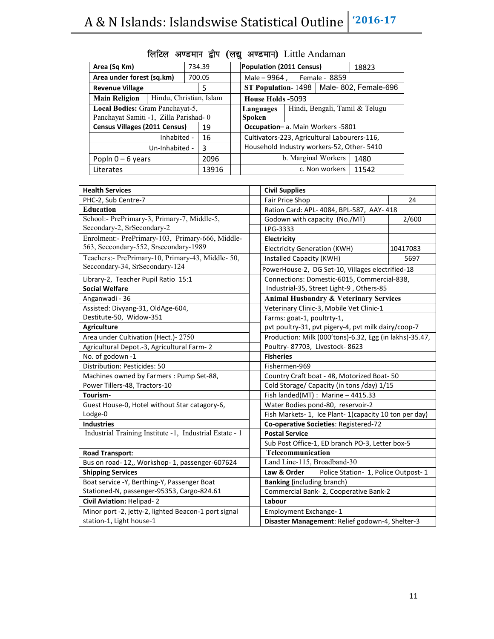| Area (Sq Km)<br>734.39                          |                                 |        | <b>Population (2011 Census)</b>           |                                              |                            | 18823               |       |
|-------------------------------------------------|---------------------------------|--------|-------------------------------------------|----------------------------------------------|----------------------------|---------------------|-------|
| Area under forest (sq.km)                       |                                 | 700.05 |                                           |                                              | Male - 9964, Female - 8859 |                     |       |
| <b>Revenue Village</b>                          |                                 |        | 5                                         | Male- 802, Female-696<br>ST Population-1498  |                            |                     |       |
| Hindu, Christian, Islam<br><b>Main Religion</b> |                                 |        | <b>House Holds -5093</b>                  |                                              |                            |                     |       |
|                                                 | Local Bodies: Gram Panchayat-5, |        |                                           | Hindi, Bengali, Tamil & Telugu<br>Languages  |                            |                     |       |
| Panchayat Samiti -1, Zilla Parishad-0           |                                 |        |                                           | <b>Spoken</b>                                |                            |                     |       |
| <b>Census Villages (2011 Census)</b>            |                                 |        | 19                                        | Occupation- a. Main Workers -5801            |                            |                     |       |
|                                                 | Inhabited -                     |        | 16                                        | Cultivators-223, Agricultural Labourers-116, |                            |                     |       |
| Un-Inhabited -<br>3                             |                                 |        | Household Industry workers-52, Other-5410 |                                              |                            |                     |       |
| Popln $0 - 6$ years                             |                                 |        | 2096                                      |                                              |                            | b. Marginal Workers | 1480  |
| Literates                                       |                                 |        | 13916                                     |                                              |                            | c. Non workers      | 11542 |

## र्लिटिल अण्डमान द्वीप (लद्यु अण्डमान) Little Andaman

| <b>Health Services</b>                                  | <b>Civil Supplies</b>                                   |  |  |  |  |
|---------------------------------------------------------|---------------------------------------------------------|--|--|--|--|
| PHC-2, Sub Centre-7                                     | Fair Price Shop<br>24                                   |  |  |  |  |
| <b>Education</b>                                        | Ration Card: APL- 4084, BPL-587, AAY- 418               |  |  |  |  |
| School:- PrePrimary-3, Primary-7, Middle-5,             | Godown with capacity (No./MT)<br>2/600                  |  |  |  |  |
| Secondary-2, SrSecondary-2                              | LPG-3333                                                |  |  |  |  |
| Enrolment:- PrePrimary-103, Primary-666, Middle-        | Electricity                                             |  |  |  |  |
| 563, Seccondary-552, Srsecondary-1989                   | <b>Electricity Generation (KWH)</b><br>10417083         |  |  |  |  |
| Teachers:- PrePrimary-10, Primary-43, Middle- 50,       | Installed Capacity (KWH)<br>5697                        |  |  |  |  |
| Seccondary-34, SrSecondary-124                          | PowerHouse-2, DG Set-10, Villages electrified-18        |  |  |  |  |
| Library-2, Teacher Pupil Ratio 15:1                     | Connections: Domestic-6015, Commercial-838,             |  |  |  |  |
| <b>Social Welfare</b>                                   | Industrial-35, Street Light-9, Others-85                |  |  |  |  |
| Anganwadi - 36                                          | <b>Animal Husbandry &amp; Veterinary Services</b>       |  |  |  |  |
| Assisted: Divyang-31, OldAge-604,                       | Veterinary Clinic-3, Mobile Vet Clinic-1                |  |  |  |  |
| Destitute-50, Widow-351                                 | Farms: goat-1, poultrty-1,                              |  |  |  |  |
| <b>Agriculture</b>                                      | pvt poultry-31, pvt pigery-4, pvt milk dairy/coop-7     |  |  |  |  |
| Area under Cultivation (Hect.)-2750                     | Production: Milk (000'tons)-6.32, Egg (in lakhs)-35.47, |  |  |  |  |
| Agricultural Depot.-3, Agricultural Farm-2              | Poultry-87703, Livestock-8623                           |  |  |  |  |
| No. of godown -1                                        | <b>Fisheries</b>                                        |  |  |  |  |
| Distribution: Pesticides: 50                            | Fishermen-969                                           |  |  |  |  |
| Machines owned by Farmers: Pump Set-88,                 | Country Craft boat - 48, Motorized Boat-50              |  |  |  |  |
| Power Tillers-48, Tractors-10                           | Cold Storage/ Capacity (in tons /day) 1/15              |  |  |  |  |
| Tourism-                                                | Fish landed(MT): Marine - 4415.33                       |  |  |  |  |
| Guest House-0, Hotel without Star catagory-6,           | Water Bodies pond-80, reservoir-2                       |  |  |  |  |
| Lodge-0                                                 | Fish Markets-1, Ice Plant-1(capacity 10 ton per day)    |  |  |  |  |
| <b>Industries</b>                                       | Co-operative Societies: Registered-72                   |  |  |  |  |
| Industrial Training Institute -1, Industrial Estate - 1 | <b>Postal Service</b>                                   |  |  |  |  |
|                                                         | Sub Post Office-1, ED branch PO-3, Letter box-5         |  |  |  |  |
| <b>Road Transport:</b>                                  | Telecommunication                                       |  |  |  |  |
| Bus on road- 12,, Workshop- 1, passenger-607624         | Land Line-115, Broadband-30                             |  |  |  |  |
| <b>Shipping Services</b>                                | Law & Order<br>Police Station- 1, Police Outpost-1      |  |  |  |  |
| Boat service -Y, Berthing-Y, Passenger Boat             | <b>Banking (including branch)</b>                       |  |  |  |  |
| Stationed-N, passenger-95353, Cargo-824.61              | Commercial Bank-2, Cooperative Bank-2                   |  |  |  |  |
| Civil Aviation: Helipad-2                               | Labour                                                  |  |  |  |  |
| Minor port -2, jetty-2, lighted Beacon-1 port signal    | Employment Exchange-1                                   |  |  |  |  |
| station-1, Light house-1                                | Disaster Management: Relief godown-4, Shelter-3         |  |  |  |  |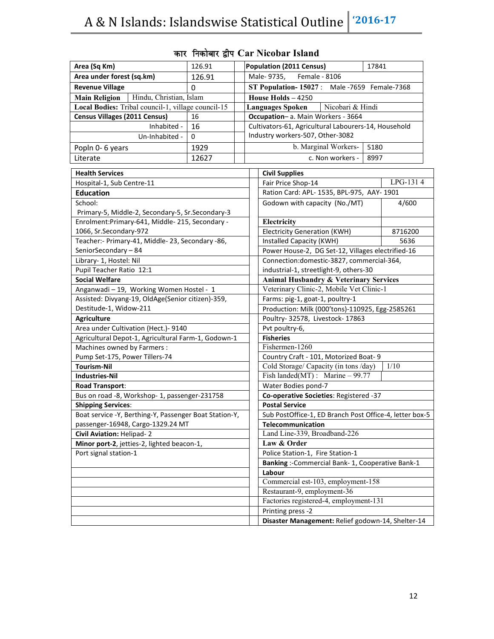|                                                   |                                                        |       |                             |                                                                                     | $\frac{1}{2}$                                           |       |          |  |
|---------------------------------------------------|--------------------------------------------------------|-------|-----------------------------|-------------------------------------------------------------------------------------|---------------------------------------------------------|-------|----------|--|
| Area (Sq Km)<br>126.91                            |                                                        |       |                             |                                                                                     | <b>Population (2011 Census)</b>                         | 17841 |          |  |
| Area under forest (sq.km)<br>126.91               |                                                        |       |                             | Male- 9735,<br>Female - 8106                                                        |                                                         |       |          |  |
| <b>Revenue Village</b>                            |                                                        | 0     |                             | ST Population-15027: Male -7659 Female-7368                                         |                                                         |       |          |  |
| <b>Main Religion</b>                              | Hindu, Christian, Islam                                |       |                             |                                                                                     | House Holds - 4250                                      |       |          |  |
|                                                   | Local Bodies: Tribal council-1, village council-15     |       |                             |                                                                                     | Nicobari & Hindi<br><b>Languages Spoken</b>             |       |          |  |
| <b>Census Villages (2011 Census)</b>              |                                                        | 16    |                             |                                                                                     | Occupation-a. Main Workers - 3664                       |       |          |  |
|                                                   | Inhabited -                                            | 16    |                             |                                                                                     | Cultivators-61, Agricultural Labourers-14, Household    |       |          |  |
|                                                   | Un-Inhabited -                                         | 0     |                             |                                                                                     | Industry workers-507, Other-3082                        |       |          |  |
| Popln 0-6 years                                   |                                                        | 1929  |                             |                                                                                     | b. Marginal Workers-                                    | 5180  |          |  |
| Literate                                          |                                                        | 12627 |                             |                                                                                     | c. Non workers -                                        | 8997  |          |  |
| <b>Health Services</b>                            |                                                        |       |                             |                                                                                     | <b>Civil Supplies</b>                                   |       |          |  |
| Hospital-1, Sub Centre-11                         |                                                        |       |                             |                                                                                     | Fair Price Shop-14                                      |       | LPG-1314 |  |
| <b>Education</b>                                  |                                                        |       |                             |                                                                                     | Ration Card: APL- 1535, BPL-975, AAY- 1901              |       |          |  |
| School:                                           |                                                        |       |                             |                                                                                     | Godown with capacity (No./MT)                           |       | 4/600    |  |
|                                                   | Primary-5, Middle-2, Secondary-5, Sr.Secondary-3       |       |                             |                                                                                     |                                                         |       |          |  |
|                                                   | Enrolment:Primary-641, Middle-215, Secondary -         |       |                             |                                                                                     | Electricity                                             |       |          |  |
| 1066, Sr.Secondary-972                            |                                                        |       |                             |                                                                                     | <b>Electricity Generation (KWH)</b>                     |       | 8716200  |  |
|                                                   | Teacher:- Primary-41, Middle-23, Secondary -86,        |       |                             |                                                                                     | Installed Capacity (KWH)                                |       | 5636     |  |
| SeniorSecondary-84                                |                                                        |       |                             |                                                                                     | Power House-2, DG Set-12, Villages electrified-16       |       |          |  |
| Library- 1, Hostel: Nil                           |                                                        |       |                             |                                                                                     | Connection:domestic-3827, commercial-364,               |       |          |  |
| Pupil Teacher Ratio 12:1                          |                                                        |       |                             |                                                                                     | industrial-1, streetlight-9, others-30                  |       |          |  |
| <b>Social Welfare</b>                             |                                                        |       |                             |                                                                                     | <b>Animal Husbandry &amp; Veterinary Services</b>       |       |          |  |
| Anganwadi - 19, Working Women Hostel - 1          |                                                        |       |                             |                                                                                     | Veterinary Clinic-2, Mobile Vet Clinic-1                |       |          |  |
| Assisted: Divyang-19, OldAge(Senior citizen)-359, |                                                        |       |                             |                                                                                     | Farms: pig-1, goat-1, poultry-1                         |       |          |  |
| Destitude-1, Widow-211                            |                                                        |       |                             | Production: Milk (000'tons)-110925, Egg-2585261<br>Poultry- 32578, Livestock- 17863 |                                                         |       |          |  |
| <b>Agriculture</b>                                |                                                        |       |                             | Pvt poultry-6,                                                                      |                                                         |       |          |  |
|                                                   | Area under Cultivation (Hect.)- 9140                   |       |                             |                                                                                     | <b>Fisheries</b>                                        |       |          |  |
| Machines owned by Farmers :                       | Agricultural Depot-1, Agricultural Farm-1, Godown-1    |       |                             |                                                                                     | Fishermen-1260                                          |       |          |  |
| Pump Set-175, Power Tillers-74                    |                                                        |       |                             | Country Craft - 101, Motorized Boat- 9                                              |                                                         |       |          |  |
| <b>Tourism-Nil</b>                                |                                                        |       |                             |                                                                                     | Cold Storage/ Capacity (in tons /day)                   |       | 1/10     |  |
| <b>Industries-Nil</b>                             |                                                        |       |                             |                                                                                     | Fish landed(MT): Marine $-99.77$                        |       |          |  |
| <b>Road Transport:</b>                            |                                                        |       |                             |                                                                                     | Water Bodies pond-7                                     |       |          |  |
|                                                   | Bus on road -8, Workshop- 1, passenger-231758          |       |                             |                                                                                     | Co-operative Societies: Registered -37                  |       |          |  |
| <b>Shipping Services:</b>                         |                                                        |       |                             |                                                                                     | <b>Postal Service</b>                                   |       |          |  |
|                                                   | Boat service -Y, Berthing-Y, Passenger Boat Station-Y, |       |                             |                                                                                     | Sub PostOffice-1, ED Branch Post Office-4, letter box-5 |       |          |  |
|                                                   | passenger-16948, Cargo-1329.24 MT                      |       |                             |                                                                                     | Telecommunication                                       |       |          |  |
| Civil Aviation: Helipad-2                         |                                                        |       |                             |                                                                                     | Land Line-339, Broadband-226                            |       |          |  |
|                                                   | Minor port-2, jetties-2, lighted beacon-1,             |       |                             |                                                                                     | Law & Order                                             |       |          |  |
| Port signal station-1                             |                                                        |       |                             |                                                                                     | Police Station-1, Fire Station-1                        |       |          |  |
|                                                   |                                                        |       |                             |                                                                                     | Banking :- Commercial Bank- 1, Cooperative Bank-1       |       |          |  |
|                                                   |                                                        |       |                             |                                                                                     | Labour                                                  |       |          |  |
|                                                   |                                                        |       |                             |                                                                                     | Commercial est-103, employment-158                      |       |          |  |
|                                                   |                                                        |       | Restaurant-9, employment-36 |                                                                                     |                                                         |       |          |  |
|                                                   |                                                        |       |                             |                                                                                     | Factories registered-4, employment-131                  |       |          |  |
|                                                   |                                                        |       |                             |                                                                                     | Printing press -2                                       |       |          |  |
|                                                   |                                                        |       |                             |                                                                                     | Disaster Management: Relief godown-14, Shelter-14       |       |          |  |

#### dkj fudk sckj }hi **Car Nicobar Island**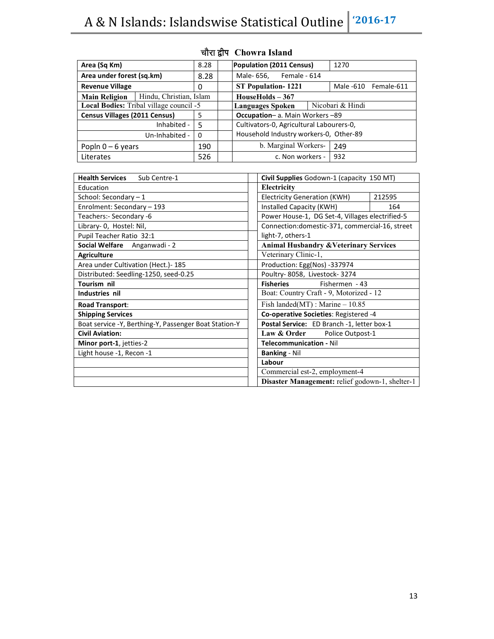| Area (Sq Km)<br>8.28                            |                |          |                                                  | <b>Population (2011 Census)</b>             |  | 1270 |  |
|-------------------------------------------------|----------------|----------|--------------------------------------------------|---------------------------------------------|--|------|--|
| Area under forest (sq.km)<br>8.28               |                |          |                                                  | Male- 656, Female - 614                     |  |      |  |
| <b>Revenue Village</b>                          | 0              |          | <b>ST Population-1221</b><br>Male-610 Female-611 |                                             |  |      |  |
| Hindu, Christian, Islam<br><b>Main Religion</b> |                |          |                                                  | $HouseHolds - 367$                          |  |      |  |
| <b>Local Bodies:</b> Tribal village council -5  |                |          |                                                  | Nicobari & Hindi<br><b>Languages Spoken</b> |  |      |  |
| <b>Census Villages (2011 Census)</b>            |                | 5        |                                                  | Occupation- a. Main Workers -89             |  |      |  |
| Inhabited -<br>5                                |                |          |                                                  | Cultivators-0, Agricultural Labourers-0,    |  |      |  |
|                                                 | Un-Inhabited - | $\Omega$ | Household Industry workers-0, Other-89           |                                             |  |      |  |
| Popln $0 - 6$ years                             |                | 190      |                                                  | b. Marginal Workers-<br>249                 |  |      |  |
| Literates                                       |                | 526      |                                                  | 932<br>c. Non workers -                     |  |      |  |

## **चौरा द्वीप Chowra Island**

| <b>Health Services</b><br>Sub Centre-1                | Civil Supplies Godown-1 (capacity 150 MT)        |  |  |  |
|-------------------------------------------------------|--------------------------------------------------|--|--|--|
| Education                                             | Electricity                                      |  |  |  |
| School: Secondary $-1$                                | 212595<br>Electricity Generation (KWH)           |  |  |  |
| Enrolment: Secondary - 193                            | Installed Capacity (KWH)<br>164                  |  |  |  |
| Teachers:- Secondary -6                               | Power House-1, DG Set-4, Villages electrified-5  |  |  |  |
| Library- 0, Hostel: Nil,                              | Connection: domestic-371, commercial-16, street  |  |  |  |
| Pupil Teacher Ratio 32:1                              | light-7, others-1                                |  |  |  |
| Social Welfare Anganwadi - 2                          | <b>Animal Husbandry &amp;Veterinary Services</b> |  |  |  |
| <b>Agriculture</b>                                    | Veterinary Clinic-1,                             |  |  |  |
| Area under Cultivation (Hect.)-185                    | Production: Egg(Nos) -337974                     |  |  |  |
| Distributed: Seedling-1250, seed-0.25                 | Poultry-8058, Livestock-3274                     |  |  |  |
| Tourism nil                                           | <b>Fisheries</b><br>Fishermen - 43               |  |  |  |
| Industries nil                                        | Boat: Country Craft - 9, Motorized - 12          |  |  |  |
| <b>Road Transport:</b>                                | Fish landed( $MT$ ) : Marine - 10.85             |  |  |  |
| <b>Shipping Services</b>                              | Co-operative Societies: Registered -4            |  |  |  |
| Boat service -Y, Berthing-Y, Passenger Boat Station-Y | Postal Service: ED Branch -1, letter box-1       |  |  |  |
| <b>Civil Aviation:</b>                                | Law & Order<br>Police Outpost-1                  |  |  |  |
| Minor port-1, jetties-2                               | <b>Telecommunication - Nil</b>                   |  |  |  |
| Light house -1, Recon -1                              | <b>Banking - Nil</b>                             |  |  |  |
|                                                       | Labour                                           |  |  |  |
|                                                       | Commercial est-2, employment-4                   |  |  |  |
|                                                       | Disaster Management: relief godown-1, shelter-1  |  |  |  |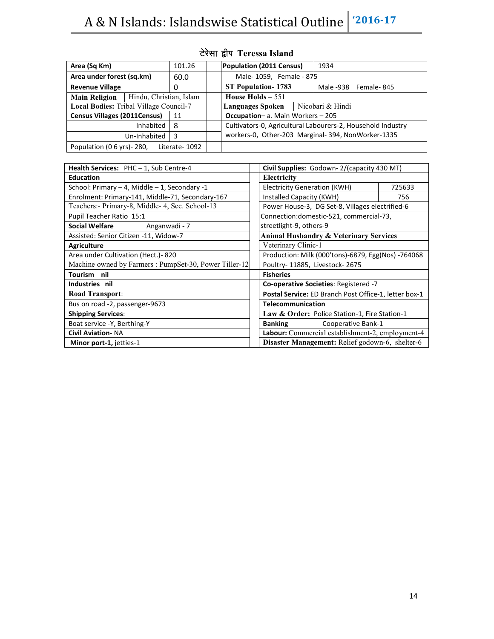| Area (Sq Km)                                  |                                        | 101.26 |                    | Population (2011 Census)                          | 1934                                                        |  |  |
|-----------------------------------------------|----------------------------------------|--------|--------------------|---------------------------------------------------|-------------------------------------------------------------|--|--|
| Area under forest (sq.km)                     |                                        | 60.0   |                    | Male-1059, Female - 875                           |                                                             |  |  |
| <b>Revenue Village</b>                        |                                        | 0      |                    | <b>ST Population-1783</b>                         | Male -938 Female-845                                        |  |  |
| <b>Main Religion</b>                          | Hindu, Christian, Islam                |        | House Holds $-551$ |                                                   |                                                             |  |  |
|                                               | Local Bodies: Tribal Village Council-7 |        |                    | Nicobari & Hindi<br><b>Languages Spoken</b>       |                                                             |  |  |
| <b>Census Villages (2011Census)</b>           |                                        | 11     |                    | <b>Occupation-a.</b> Main Workers - 205           |                                                             |  |  |
|                                               | <b>Inhabited</b>                       | -8     |                    |                                                   | Cultivators-0, Agricultural Labourers-2, Household Industry |  |  |
| Un-Inhabited<br>3                             |                                        |        |                    | workers-0, Other-203 Marginal-394, NonWorker-1335 |                                                             |  |  |
| Population (0 6 yrs) - 280,<br>Literate- 1092 |                                        |        |                    |                                                   |                                                             |  |  |

#### **टेरेसा द्वीप Teressa Island**

| Health Services: PHC-1, Sub Centre-4                                              | Civil Supplies: Godown-2/(capacity 430 MT)            |        |  |  |
|-----------------------------------------------------------------------------------|-------------------------------------------------------|--------|--|--|
| <b>Education</b>                                                                  | Electricity                                           |        |  |  |
| School: Primary $-4$ , Middle $-1$ , Secondary -1                                 | <b>Electricity Generation (KWH)</b>                   | 725633 |  |  |
| Enrolment: Primary-141, Middle-71, Secondary-167                                  | Installed Capacity (KWH)                              | 756    |  |  |
| Teachers: Primary-8, Middle-4, Sec. School-13                                     | Power House-3, DG Set-8, Villages electrified-6       |        |  |  |
| Pupil Teacher Ratio 15:1                                                          | Connection: domestic-521, commercial-73,              |        |  |  |
| <b>Social Welfare</b><br>Anganwadi - 7                                            | streetlight-9, others-9                               |        |  |  |
| Assisted: Senior Citizen -11, Widow-7                                             | <b>Animal Husbandry &amp; Veterinary Services</b>     |        |  |  |
| <b>Agriculture</b>                                                                | Veterinary Clinic-1                                   |        |  |  |
| Area under Cultivation (Hect.) - 820                                              | Production: Milk (000'tons)-6879, Egg(Nos) -764068    |        |  |  |
| Machine owned by Farmers: PumpSet-30, Power Tiller-12                             | Poultry-11885, Livestock-2675                         |        |  |  |
| Tourism nil                                                                       | <b>Fisheries</b>                                      |        |  |  |
| Industries nil                                                                    | Co-operative Societies: Registered -7                 |        |  |  |
| <b>Road Transport:</b>                                                            | Postal Service: ED Branch Post Office-1, letter box-1 |        |  |  |
| Telecommunication<br>Bus on road -2, passenger-9673                               |                                                       |        |  |  |
| <b>Shipping Services:</b>                                                         | Law & Order: Police Station-1, Fire Station-1         |        |  |  |
| Boat service -Y, Berthing-Y                                                       | <b>Banking</b><br>Cooperative Bank-1                  |        |  |  |
| <b>Civil Aviation-NA</b>                                                          | Labour: Commercial establishment-2, employment-4      |        |  |  |
| <b>Disaster Management:</b> Relief godown-6, shelter-6<br>Minor port-1, jetties-1 |                                                       |        |  |  |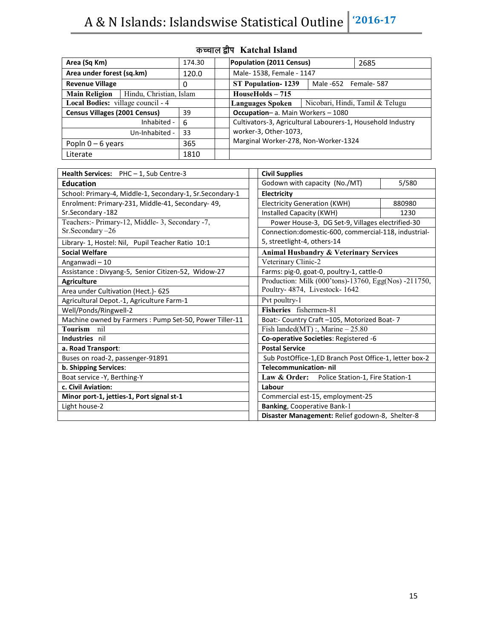| Area (Sq Km)                                    | 174.30 |                                                             | Population (2011 Census)        |  |  |  |
|-------------------------------------------------|--------|-------------------------------------------------------------|---------------------------------|--|--|--|
| Area under forest (sq.km)                       | 120.0  |                                                             | Male- 1538, Female - 1147       |  |  |  |
| <b>Revenue Village</b>                          | 0      | <b>ST Population-1239</b>                                   | Male -652 Female- 587           |  |  |  |
| Hindu, Christian, Islam<br><b>Main Religion</b> |        | $HouseHolds - 715$                                          |                                 |  |  |  |
| Local Bodies: village council - 4               |        | Languages Spoken                                            | Nicobari, Hindi, Tamil & Telugu |  |  |  |
| <b>Census Villages (2001 Census)</b>            | 39     | Occupation- a. Main Workers - 1080                          |                                 |  |  |  |
| Inhabited -                                     | 6      | Cultivators-3, Agricultural Labourers-1, Household Industry |                                 |  |  |  |
| Un-Inhabited -                                  | 33     | worker-3, Other-1073,                                       |                                 |  |  |  |
| Popln $0 - 6$ years                             | 365    | Marginal Worker-278, Non-Worker-1324                        |                                 |  |  |  |
| Literate                                        | 1810   |                                                             |                                 |  |  |  |

## *कच्चाल* द्वीप Katchal Island

| Health Services: PHC-1, Sub Centre-3                     |                                                      | <b>Civil Supplies</b>                                  |        |  |  |
|----------------------------------------------------------|------------------------------------------------------|--------------------------------------------------------|--------|--|--|
| <b>Education</b>                                         |                                                      | Godown with capacity (No./MT)                          | 5/580  |  |  |
| School: Primary-4, Middle-1, Secondary-1, Sr.Secondary-1 |                                                      | Electricity                                            |        |  |  |
| Enrolment: Primary-231, Middle-41, Secondary-49,         |                                                      | <b>Electricity Generation (KWH)</b>                    | 880980 |  |  |
| Sr.Secondary -182                                        |                                                      | Installed Capacity (KWH)                               | 1230   |  |  |
| Teachers:- Primary-12, Middle-3, Secondary -7,           |                                                      | Power House-3, DG Set-9, Villages electrified-30       |        |  |  |
| $Sr.Secondary-26$                                        |                                                      | Connection: domestic-600, commercial-118, industrial-  |        |  |  |
| Library- 1, Hostel: Nil, Pupil Teacher Ratio 10:1        |                                                      | 5, streetlight-4, others-14                            |        |  |  |
| <b>Social Welfare</b>                                    |                                                      | <b>Animal Husbandry &amp; Veterinary Services</b>      |        |  |  |
| Anganwadi - 10                                           |                                                      | Veterinary Clinic-2                                    |        |  |  |
| Assistance: Divyang-5, Senior Citizen-52, Widow-27       | Farms: pig-0, goat-0, poultry-1, cattle-0            |                                                        |        |  |  |
| <b>Agriculture</b>                                       | Production: Milk (000'tons)-13760, Egg(Nos) -211750, |                                                        |        |  |  |
| Area under Cultivation (Hect.)- 625                      | Poultry- 4874, Livestock- 1642                       |                                                        |        |  |  |
| Agricultural Depot.-1, Agriculture Farm-1                |                                                      | Pvt poultry-1                                          |        |  |  |
| Well/Ponds/Ringwell-2                                    |                                                      | Fisheries fishermen-81                                 |        |  |  |
| Machine owned by Farmers : Pump Set-50, Power Tiller-11  |                                                      | Boat:- Country Craft -105, Motorized Boat- 7           |        |  |  |
| Tourism nil                                              |                                                      | Fish landed(MT) :, Marine $-25.80$                     |        |  |  |
| Industries nil                                           |                                                      | Co-operative Societies: Registered -6                  |        |  |  |
| a. Road Transport:                                       |                                                      | <b>Postal Service</b>                                  |        |  |  |
| Buses on road-2, passenger-91891                         |                                                      | Sub PostOffice-1,ED Branch Post Office-1, letter box-2 |        |  |  |
| b. Shipping Services:                                    |                                                      | <b>Telecommunication-nil</b>                           |        |  |  |
| Boat service -Y, Berthing-Y                              |                                                      | Law & Order:<br>Police Station-1, Fire Station-1       |        |  |  |
| c. Civil Aviation:                                       |                                                      | Labour                                                 |        |  |  |
| Minor port-1, jetties-1, Port signal st-1                |                                                      | Commercial est-15, employment-25                       |        |  |  |
| Light house-2                                            |                                                      | <b>Banking, Cooperative Bank-1</b>                     |        |  |  |
|                                                          |                                                      | Disaster Management: Relief godown-8, Shelter-8        |        |  |  |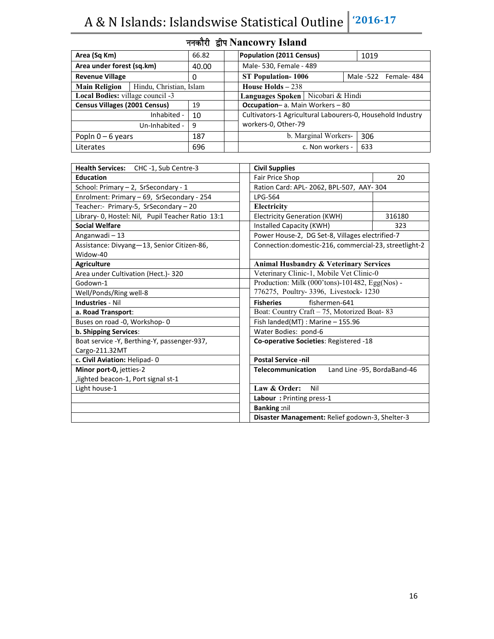## **ननकौरी द्वीप Nancowry Island**

| Area (Sq Km)                                    | 66.82 | <b>Population (2011 Census)</b><br>1019                    |
|-------------------------------------------------|-------|------------------------------------------------------------|
| Area under forest (sq.km)                       | 40.00 | Male- 530, Female - 489                                    |
| <b>Revenue Village</b>                          | 0     | <b>ST Population-1006</b><br>Male -522 Female-484          |
| Hindu, Christian, Islam<br><b>Main Religion</b> |       | House Holds $-238$                                         |
| Local Bodies: village council -3                |       | Nicobari & Hindi<br>Languages Spoken                       |
| <b>Census Villages (2001 Census)</b>            | 19    | <b>Occupation-a.</b> Main Workers - 80                     |
| Inhabited -                                     | 10    | Cultivators-1 Agricultural Labourers-0, Household Industry |
| Un-Inhabited -                                  | 9     | workers-0, Other-79                                        |
| Popln $0 - 6$ years                             | 187   | b. Marginal Workers-<br>306                                |
| Literates                                       | 696   | c. Non workers -<br>633                                    |

| Health Services: CHC-1, Sub Centre-3                                                                             | <b>Civil Supplies</b>                             |                             |  |  |
|------------------------------------------------------------------------------------------------------------------|---------------------------------------------------|-----------------------------|--|--|
| <b>Education</b>                                                                                                 | Fair Price Shop                                   | 20                          |  |  |
| School: Primary - 2, SrSecondary - 1                                                                             | Ration Card: APL- 2062, BPL-507, AAY- 304         |                             |  |  |
| Enrolment: Primary - 69, SrSecondary - 254                                                                       | LPG-564                                           |                             |  |  |
| Teacher:- Primary-5, SrSecondary-20                                                                              | Electricity                                       |                             |  |  |
| Library- 0, Hostel: Nil, Pupil Teacher Ratio 13:1                                                                | Electricity Generation (KWH)                      | 316180                      |  |  |
| <b>Social Welfare</b>                                                                                            | Installed Capacity (KWH)                          | 323                         |  |  |
| Anganwadi-13                                                                                                     | Power House-2, DG Set-8, Villages electrified-7   |                             |  |  |
| Connection: domestic-216, commercial-23, streetlight-2<br>Assistance: Divyang-13, Senior Citizen-86,<br>Widow-40 |                                                   |                             |  |  |
| <b>Agriculture</b>                                                                                               | <b>Animal Husbandry &amp; Veterinary Services</b> |                             |  |  |
| Area under Cultivation (Hect.)- 320                                                                              | Veterinary Clinic-1, Mobile Vet Clinic-0          |                             |  |  |
| Godown-1                                                                                                         | Production: Milk (000'tons)-101482, Egg(Nos) -    |                             |  |  |
| Well/Ponds/Ring well-8                                                                                           | 776275, Poultry-3396, Livestock-1230              |                             |  |  |
| <b>Industries - Nil</b>                                                                                          | <b>Fisheries</b><br>fishermen-641                 |                             |  |  |
| a. Road Transport:                                                                                               | Boat: Country Craft - 75, Motorized Boat-83       |                             |  |  |
| Buses on road -0, Workshop-0                                                                                     | Fish landed(MT): Marine - 155.96                  |                             |  |  |
| b. Shipping Services:                                                                                            | Water Bodies: pond-6                              |                             |  |  |
| Boat service -Y, Berthing-Y, passenger-937,                                                                      | Co-operative Societies: Registered -18            |                             |  |  |
| Cargo-211.32MT                                                                                                   |                                                   |                             |  |  |
| c. Civil Aviation: Helipad-0                                                                                     | <b>Postal Service -nil</b>                        |                             |  |  |
| Minor port-0, jetties-2                                                                                          | Telecommunication                                 | Land Line -95, BordaBand-46 |  |  |
| lighted beacon-1, Port signal st-1                                                                               |                                                   |                             |  |  |
| Light house-1                                                                                                    | Law & Order:<br>Nil                               |                             |  |  |
|                                                                                                                  | Labour: Printing press-1                          |                             |  |  |
|                                                                                                                  | <b>Banking:nil</b>                                |                             |  |  |
|                                                                                                                  | Disaster Management: Relief godown-3, Shelter-3   |                             |  |  |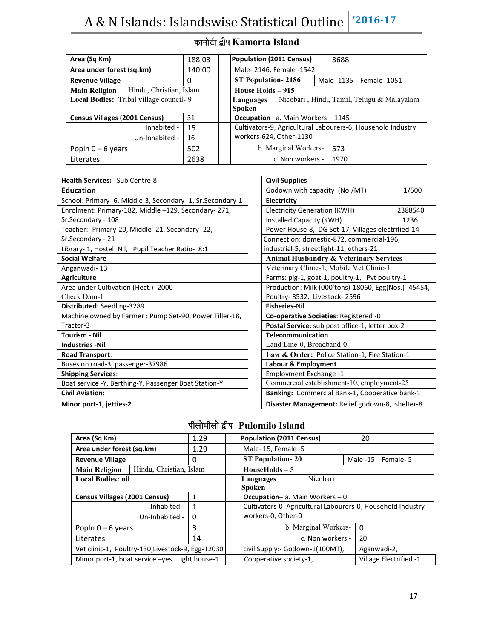## *का*मोर्टा द्वीप Kamorta Island

| Area (Sq Km)                                    | 188.03 |                                                         | Population (2011 Census)<br>3688                      |                                           |  |                                                             |  |
|-------------------------------------------------|--------|---------------------------------------------------------|-------------------------------------------------------|-------------------------------------------|--|-------------------------------------------------------------|--|
| Area under forest (sq.km)                       | 140.00 |                                                         | Male-2146, Female -1542                               |                                           |  |                                                             |  |
| <b>Revenue Village</b>                          | 0      |                                                         | <b>ST Population-2186</b><br>Male -1135 Female - 1051 |                                           |  |                                                             |  |
| Hindu, Christian, Islam<br><b>Main Religion</b> |        |                                                         | House Holds $-915$                                    |                                           |  |                                                             |  |
| Local Bodies: Tribal village council- 9         |        | Nicobari, Hindi, Tamil, Telugu & Malayalam<br>Languages |                                                       |                                           |  |                                                             |  |
|                                                 |        |                                                         | <b>Spoken</b>                                         |                                           |  |                                                             |  |
| <b>Census Villages (2001 Census)</b>            | 31     |                                                         |                                                       | <b>Occupation-</b> a. Main Workers - 1145 |  |                                                             |  |
| Inhabited -                                     | 15     |                                                         |                                                       |                                           |  | Cultivators-9, Agricultural Labourers-6, Household Industry |  |
| Un-Inhabited -                                  | 16     |                                                         | workers-624, Other-1130                               |                                           |  |                                                             |  |
| Popln $0 - 6$ years                             | 502    |                                                         | b. Marginal Workers-<br>573                           |                                           |  |                                                             |  |
| Literates                                       | 2638   |                                                         |                                                       | c. Non workers -                          |  | 1970                                                        |  |

| Health Services: Sub Centre-8                              |                               | <b>Civil Supplies</b>                                |      |  |  |  |
|------------------------------------------------------------|-------------------------------|------------------------------------------------------|------|--|--|--|
| <b>Education</b>                                           | Godown with capacity (No./MT) |                                                      |      |  |  |  |
| School: Primary -6, Middle-3, Secondary- 1, Sr.Secondary-1 |                               | Electricity                                          |      |  |  |  |
| Enrolment: Primary-182, Middle -129, Secondary-271,        |                               | <b>Electricity Generation (KWH)</b><br>2388540       |      |  |  |  |
| Sr.Secondary - 108                                         |                               | Installed Capacity (KWH)                             | 1236 |  |  |  |
| Teacher:- Primary-20, Middle-21, Secondary -22,            |                               | Power House-8, DG Set-17, Villages electrified-14    |      |  |  |  |
| Sr.Secondary - 21                                          |                               | Connection: domestic-872, commercial-196,            |      |  |  |  |
| Library- 1, Hostel: Nil, Pupil Teacher Ratio- 8:1          |                               | industrial-5, streetlight-11, others-21              |      |  |  |  |
| <b>Social Welfare</b>                                      |                               | <b>Animal Husbandry &amp; Veterinary Services</b>    |      |  |  |  |
| Anganwadi-13                                               |                               | Veterinary Clinic-1, Mobile Vet Clinic-1             |      |  |  |  |
| <b>Agriculture</b>                                         |                               | Farms: pig-1, goat-1, poultry-1, Pvt poultry-1       |      |  |  |  |
| Area under Cultivation (Hect.)-2000                        |                               | Production: Milk (000'tons)-18060, Egg(Nos.) -45454, |      |  |  |  |
| Check Dam-1                                                |                               | Poultry-8532, Livestock-2596                         |      |  |  |  |
| Distributed: Seedling-3289                                 |                               | <b>Fisheries-Nil</b>                                 |      |  |  |  |
| Machine owned by Farmer: Pump Set-90, Power Tiller-18,     |                               | Co-operative Societies: Registered -0                |      |  |  |  |
| Tractor-3                                                  |                               | Postal Service: sub post office-1, letter box-2      |      |  |  |  |
| <b>Tourism - Nil</b>                                       |                               | Telecommunication                                    |      |  |  |  |
| <b>Industries -Nil</b>                                     |                               | Land Line-0, Broadband-0                             |      |  |  |  |
| Road Transport:                                            |                               | Law & Order: Police Station-1, Fire Station-1        |      |  |  |  |
| Buses on road-3, passenger-37986                           | Labour & Employment           |                                                      |      |  |  |  |
| <b>Shipping Services:</b>                                  |                               | Employment Exchange -1                               |      |  |  |  |
| Boat service -Y, Berthing-Y, Passenger Boat Station-Y      |                               | Commercial establishment-10, employment-25           |      |  |  |  |
| <b>Civil Aviation:</b>                                     |                               | Banking: Commercial Bank-1, Cooperative bank-1       |      |  |  |  |
| Minor port-1, jetties-2                                    |                               | Disaster Management: Relief godown-8, shelter-8      |      |  |  |  |

#### ihy¨ehy¨ }hi **Pulomilo Island**

| Area (Sq Km)                                      |                                               | 1.29         |                                         |                                 | Population (2011 Census)<br>20 |             |                                                            |  |
|---------------------------------------------------|-----------------------------------------------|--------------|-----------------------------------------|---------------------------------|--------------------------------|-------------|------------------------------------------------------------|--|
| Area under forest (sq.km)                         |                                               | 1.29         |                                         | Male-15, Female -5              |                                |             |                                                            |  |
| <b>Revenue Village</b>                            |                                               | 0            |                                         | <b>ST Population-20</b>         |                                |             | Male -15<br>Female-5                                       |  |
| <b>Main Religion</b>                              | Hindu, Christian, Islam                       |              |                                         | $HouseHolds - 5$                |                                |             |                                                            |  |
| <b>Local Bodies: nil</b>                          |                                               |              |                                         | Languages                       | Nicobari                       |             |                                                            |  |
|                                                   |                                               |              |                                         | <b>Spoken</b>                   |                                |             |                                                            |  |
| <b>Census Villages (2001 Census)</b>              |                                               | $\mathbf{1}$ | <b>Occupation-</b> a. Main Workers $-0$ |                                 |                                |             |                                                            |  |
|                                                   | Inhabited -                                   | $\mathbf 1$  |                                         |                                 |                                |             | Cultivators-0 Agricultural Labourers-0, Household Industry |  |
|                                                   | Un-Inhabited -                                | $\Omega$     |                                         | workers-0, Other-0              |                                |             |                                                            |  |
| Popln $0 - 6$ years                               |                                               | 3            |                                         |                                 | b. Marginal Workers-           |             | $\Omega$                                                   |  |
| Literates                                         |                                               | 14           |                                         | 20<br>c. Non workers -          |                                |             |                                                            |  |
| Vet clinic-1, Poultry-130, Livestock-9, Egg-12030 |                                               |              |                                         | civil Supply:- Godown-1(100MT), |                                | Aganwadi-2, |                                                            |  |
|                                                   | Minor port-1, boat service -yes Light house-1 |              |                                         | Cooperative society-1,          |                                |             | Village Electrified -1                                     |  |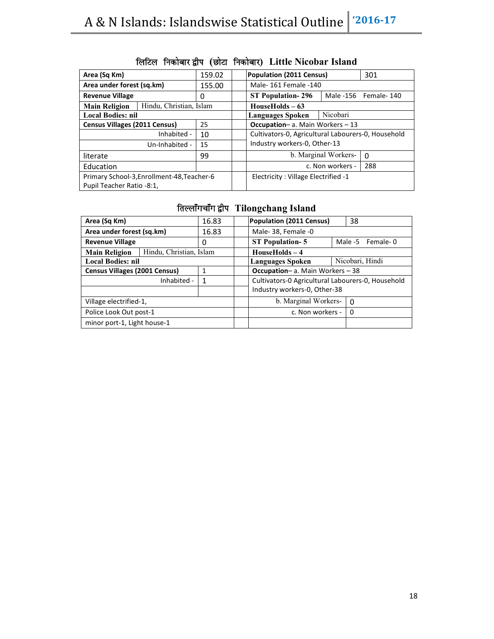| Area (Sq Km)                               |                         | 159.02 | <b>Population (2011 Census)</b><br>301             |                      |                      |
|--------------------------------------------|-------------------------|--------|----------------------------------------------------|----------------------|----------------------|
| Area under forest (sq.km)                  |                         | 155.00 | Male-161 Female -140                               |                      |                      |
| <b>Revenue Village</b>                     |                         | 0      | <b>ST Population-296</b>                           |                      | Male -156 Female-140 |
| <b>Main Religion</b>                       | Hindu, Christian, Islam |        | $HouseHolds - 63$                                  |                      |                      |
| <b>Local Bodies: nil</b>                   |                         |        | Languages Spoken                                   | Nicobari             |                      |
| Census Villages (2011 Census)              |                         | 25     | Occupation- a. Main Workers - 13                   |                      |                      |
|                                            | Inhabited -             | 10     | Cultivators-0, Agricultural Labourers-0, Household |                      |                      |
|                                            | Un-Inhabited -          | 15     | Industry workers-0, Other-13                       |                      |                      |
| literate                                   |                         | 99     |                                                    | b. Marginal Workers- | $\Omega$             |
| Education                                  |                         |        | 288<br>c. Non workers -                            |                      |                      |
| Primary School-3, Enrollment-48, Teacher-6 |                         |        | Electricity: Village Electrified -1                |                      |                      |
| Pupil Teacher Ratio -8:1,                  |                         |        |                                                    |                      |                      |

## fyfVy fudk sckj }hi **(**NksVk fudk sckj**) Little Nicobar Island**

### **fi** *f* aware Tilong chang Island

| Area (Sq Km)                         |                         | 16.83 |  | <b>Population (2011 Census)</b><br>38             |  |                  |  |
|--------------------------------------|-------------------------|-------|--|---------------------------------------------------|--|------------------|--|
| Area under forest (sq.km)            |                         | 16.83 |  | Male-38, Female -0                                |  |                  |  |
| <b>Revenue Village</b>               |                         | 0     |  | <b>ST</b> Population-5                            |  | Male -5 Female-0 |  |
| <b>Main Religion</b>                 | Hindu, Christian, Islam |       |  | $HouseHolds - 4$                                  |  |                  |  |
| <b>Local Bodies: nil</b>             |                         |       |  | <b>Languages Spoken</b>                           |  | Nicobari, Hindi  |  |
| <b>Census Villages (2001 Census)</b> |                         |       |  | <b>Occupation-a.</b> Main Workers - 38            |  |                  |  |
|                                      | Inhabited -             | 1     |  | Cultivators-0 Agricultural Labourers-0, Household |  |                  |  |
|                                      |                         |       |  | Industry workers-0, Other-38                      |  |                  |  |
| Village electrified-1,               |                         |       |  | b. Marginal Workers-<br>$\Omega$                  |  |                  |  |
| Police Look Out post-1               |                         |       |  | c. Non workers -<br>$\Omega$                      |  |                  |  |
| minor port-1, Light house-1          |                         |       |  |                                                   |  |                  |  |